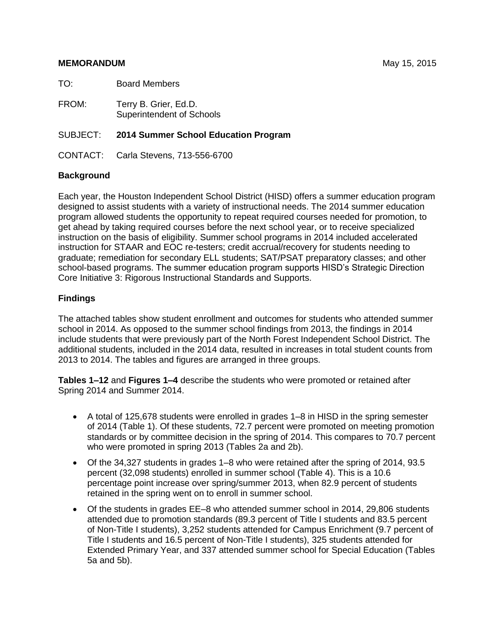#### **MEMORANDUM** May 15, 2015

TO: Board Members

FROM: Terry B. Grier, Ed.D. Superintendent of Schools

#### SUBJECT: **2014 Summer School Education Program**

CONTACT: Carla Stevens, 713-556-6700

#### **Background**

Each year, the Houston Independent School District (HISD) offers a summer education program designed to assist students with a variety of instructional needs. The 2014 summer education program allowed students the opportunity to repeat required courses needed for promotion, to get ahead by taking required courses before the next school year, or to receive specialized instruction on the basis of eligibility. Summer school programs in 2014 included accelerated instruction for STAAR and EOC re-testers; credit accrual/recovery for students needing to graduate; remediation for secondary ELL students; SAT/PSAT preparatory classes; and other school-based programs. The summer education program supports HISD's Strategic Direction Core Initiative 3: Rigorous Instructional Standards and Supports.

## **Findings**

The attached tables show student enrollment and outcomes for students who attended summer school in 2014. As opposed to the summer school findings from 2013, the findings in 2014 include students that were previously part of the North Forest Independent School District. The additional students, included in the 2014 data, resulted in increases in total student counts from 2013 to 2014. The tables and figures are arranged in three groups.

**Tables 1–12** and **Figures 1–4** describe the students who were promoted or retained after Spring 2014 and Summer 2014.

- A total of 125,678 students were enrolled in grades 1–8 in HISD in the spring semester of 2014 (Table 1). Of these students, 72.7 percent were promoted on meeting promotion standards or by committee decision in the spring of 2014. This compares to 70.7 percent who were promoted in spring 2013 (Tables 2a and 2b).
- Of the 34,327 students in grades 1–8 who were retained after the spring of 2014, 93.5 percent (32,098 students) enrolled in summer school (Table 4). This is a 10.6 percentage point increase over spring/summer 2013, when 82.9 percent of students retained in the spring went on to enroll in summer school.
- Of the students in grades EE–8 who attended summer school in 2014, 29,806 students attended due to promotion standards (89.3 percent of Title I students and 83.5 percent of Non-Title I students), 3,252 students attended for Campus Enrichment (9.7 percent of Title I students and 16.5 percent of Non-Title I students), 325 students attended for Extended Primary Year, and 337 attended summer school for Special Education (Tables 5a and 5b).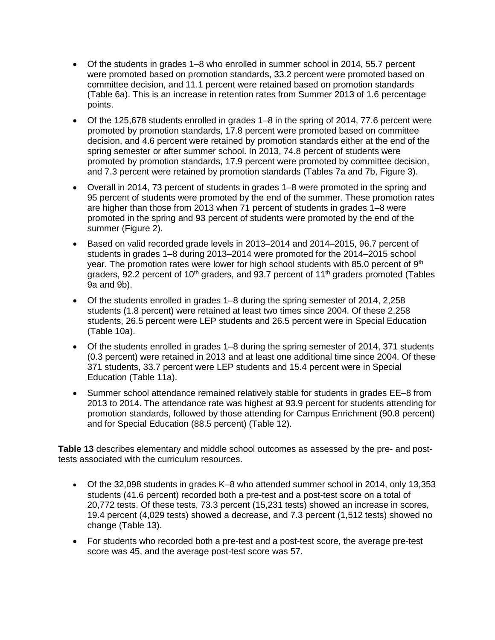- Of the students in grades 1–8 who enrolled in summer school in 2014, 55.7 percent were promoted based on promotion standards, 33.2 percent were promoted based on committee decision, and 11.1 percent were retained based on promotion standards (Table 6a). This is an increase in retention rates from Summer 2013 of 1.6 percentage points.
- Of the 125,678 students enrolled in grades 1–8 in the spring of 2014, 77.6 percent were promoted by promotion standards, 17.8 percent were promoted based on committee decision, and 4.6 percent were retained by promotion standards either at the end of the spring semester or after summer school. In 2013, 74.8 percent of students were promoted by promotion standards, 17.9 percent were promoted by committee decision, and 7.3 percent were retained by promotion standards (Tables 7a and 7b, Figure 3).
- Overall in 2014, 73 percent of students in grades 1–8 were promoted in the spring and 95 percent of students were promoted by the end of the summer. These promotion rates are higher than those from 2013 when 71 percent of students in grades 1–8 were promoted in the spring and 93 percent of students were promoted by the end of the summer (Figure 2).
- Based on valid recorded grade levels in 2013–2014 and 2014–2015, 96.7 percent of students in grades 1–8 during 2013–2014 were promoted for the 2014–2015 school year. The promotion rates were lower for high school students with 85.0 percent of  $9<sup>th</sup>$ graders, 92.2 percent of 10<sup>th</sup> graders, and 93.7 percent of 11<sup>th</sup> graders promoted (Tables 9a and 9b).
- Of the students enrolled in grades 1–8 during the spring semester of 2014, 2,258 students (1.8 percent) were retained at least two times since 2004. Of these 2,258 students, 26.5 percent were LEP students and 26.5 percent were in Special Education (Table 10a).
- Of the students enrolled in grades 1–8 during the spring semester of 2014, 371 students (0.3 percent) were retained in 2013 and at least one additional time since 2004. Of these 371 students, 33.7 percent were LEP students and 15.4 percent were in Special Education (Table 11a).
- Summer school attendance remained relatively stable for students in grades EE–8 from 2013 to 2014. The attendance rate was highest at 93.9 percent for students attending for promotion standards, followed by those attending for Campus Enrichment (90.8 percent) and for Special Education (88.5 percent) (Table 12).

**Table 13** describes elementary and middle school outcomes as assessed by the pre- and posttests associated with the curriculum resources.

- Of the 32,098 students in grades K–8 who attended summer school in 2014, only 13,353 students (41.6 percent) recorded both a pre-test and a post-test score on a total of 20,772 tests. Of these tests, 73.3 percent (15,231 tests) showed an increase in scores, 19.4 percent (4,029 tests) showed a decrease, and 7.3 percent (1,512 tests) showed no change (Table 13).
- For students who recorded both a pre-test and a post-test score, the average pre-test score was 45, and the average post-test score was 57.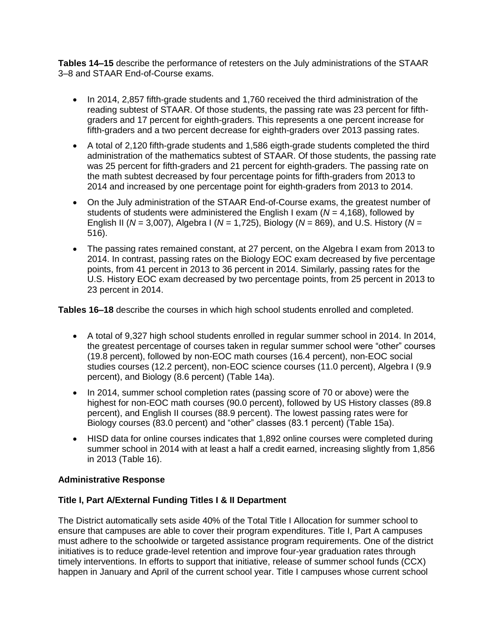**Tables 14–15** describe the performance of retesters on the July administrations of the STAAR 3–8 and STAAR End-of-Course exams.

- In 2014, 2,857 fifth-grade students and 1,760 received the third administration of the reading subtest of STAAR. Of those students, the passing rate was 23 percent for fifthgraders and 17 percent for eighth-graders. This represents a one percent increase for fifth-graders and a two percent decrease for eighth-graders over 2013 passing rates.
- A total of 2,120 fifth-grade students and 1,586 eigth-grade students completed the third administration of the mathematics subtest of STAAR. Of those students, the passing rate was 25 percent for fifth-graders and 21 percent for eighth-graders. The passing rate on the math subtest decreased by four percentage points for fifth-graders from 2013 to 2014 and increased by one percentage point for eighth-graders from 2013 to 2014.
- On the July administration of the STAAR End-of-Course exams, the greatest number of students of students were administered the English I exam (*N* = 4,168), followed by English II (*N* = 3,007), Algebra I (*N* = 1,725), Biology (*N* = 869), and U.S. History (*N* = 516).
- The passing rates remained constant, at 27 percent, on the Algebra I exam from 2013 to 2014. In contrast, passing rates on the Biology EOC exam decreased by five percentage points, from 41 percent in 2013 to 36 percent in 2014. Similarly, passing rates for the U.S. History EOC exam decreased by two percentage points, from 25 percent in 2013 to 23 percent in 2014.

**Tables 16–18** describe the courses in which high school students enrolled and completed.

- A total of 9,327 high school students enrolled in regular summer school in 2014. In 2014, the greatest percentage of courses taken in regular summer school were "other" courses (19.8 percent), followed by non-EOC math courses (16.4 percent), non-EOC social studies courses (12.2 percent), non-EOC science courses (11.0 percent), Algebra I (9.9 percent), and Biology (8.6 percent) (Table 14a).
- In 2014, summer school completion rates (passing score of 70 or above) were the highest for non-EOC math courses (90.0 percent), followed by US History classes (89.8 percent), and English II courses (88.9 percent). The lowest passing rates were for Biology courses (83.0 percent) and "other" classes (83.1 percent) (Table 15a).
- HISD data for online courses indicates that 1,892 online courses were completed during summer school in 2014 with at least a half a credit earned, increasing slightly from 1,856 in 2013 (Table 16).

# **Administrative Response**

# **Title I, Part A/External Funding Titles I & II Department**

The District automatically sets aside 40% of the Total Title I Allocation for summer school to ensure that campuses are able to cover their program expenditures. Title I, Part A campuses must adhere to the schoolwide or targeted assistance program requirements. One of the district initiatives is to reduce grade-level retention and improve four-year graduation rates through timely interventions. In efforts to support that initiative, release of summer school funds (CCX) happen in January and April of the current school year. Title I campuses whose current school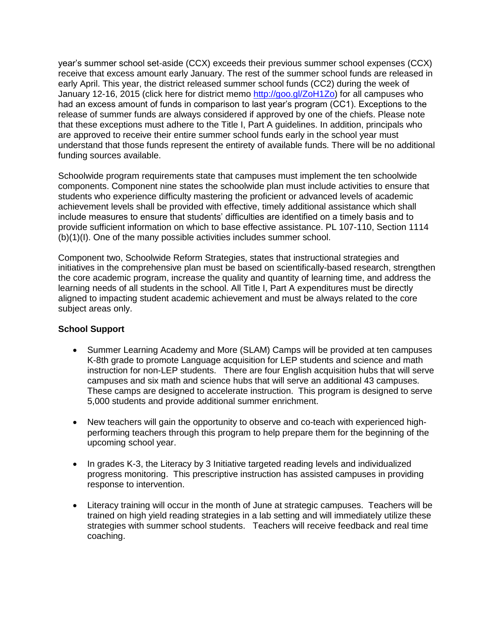year's summer school set-aside (CCX) exceeds their previous summer school expenses (CCX) receive that excess amount early January. The rest of the summer school funds are released in early April. This year, the district released summer school funds (CC2) during the week of January 12-16, 2015 (click here for district memo [http://goo.gl/ZoH1Zo\)](http://goo.gl/ZoH1Zo) for all campuses who had an excess amount of funds in comparison to last year's program (CC1). Exceptions to the release of summer funds are always considered if approved by one of the chiefs. Please note that these exceptions must adhere to the Title I, Part A guidelines. In addition, principals who are approved to receive their entire summer school funds early in the school year must understand that those funds represent the entirety of available funds. There will be no additional funding sources available.

Schoolwide program requirements state that campuses must implement the ten schoolwide components. Component nine states the schoolwide plan must include activities to ensure that students who experience difficulty mastering the proficient or advanced levels of academic achievement levels shall be provided with effective, timely additional assistance which shall include measures to ensure that students' difficulties are identified on a timely basis and to provide sufficient information on which to base effective assistance. PL 107-110, Section 1114 (b)(1)(I). One of the many possible activities includes summer school.

Component two, Schoolwide Reform Strategies, states that instructional strategies and initiatives in the comprehensive plan must be based on scientifically-based research, strengthen the core academic program, increase the quality and quantity of learning time, and address the learning needs of all students in the school. All Title I, Part A expenditures must be directly aligned to impacting student academic achievement and must be always related to the core subject areas only.

## **School Support**

- Summer Learning Academy and More (SLAM) Camps will be provided at ten campuses K-8th grade to promote Language acquisition for LEP students and science and math instruction for non-LEP students. There are four English acquisition hubs that will serve campuses and six math and science hubs that will serve an additional 43 campuses. These camps are designed to accelerate instruction. This program is designed to serve 5,000 students and provide additional summer enrichment.
- New teachers will gain the opportunity to observe and co-teach with experienced highperforming teachers through this program to help prepare them for the beginning of the upcoming school year.
- In grades K-3, the Literacy by 3 Initiative targeted reading levels and individualized progress monitoring. This prescriptive instruction has assisted campuses in providing response to intervention.
- Literacy training will occur in the month of June at strategic campuses. Teachers will be trained on high yield reading strategies in a lab setting and will immediately utilize these strategies with summer school students. Teachers will receive feedback and real time coaching.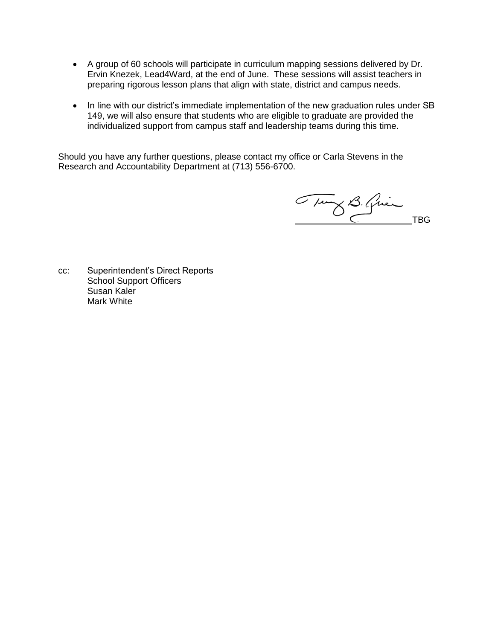- A group of 60 schools will participate in curriculum mapping sessions delivered by Dr. Ervin Knezek, Lead4Ward, at the end of June. These sessions will assist teachers in preparing rigorous lesson plans that align with state, district and campus needs.
- In line with our district's immediate implementation of the new graduation rules under SB 149, we will also ensure that students who are eligible to graduate are provided the individualized support from campus staff and leadership teams during this time.

Should you have any further questions, please contact my office or Carla Stevens in the Research and Accountability Department at (713) 556-6700.

Tury B. Quien TBG

cc: Superintendent's Direct Reports School Support Officers Susan Kaler Mark White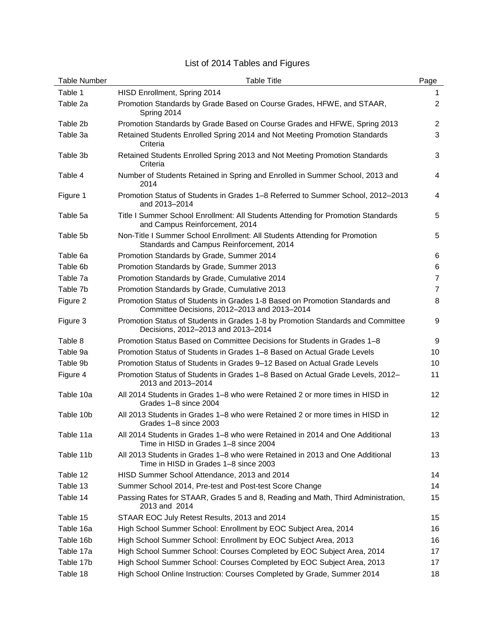# List of 2014 Tables and Figures

| <b>Table Number</b> | <b>Table Title</b>                                                                                                          | Page            |
|---------------------|-----------------------------------------------------------------------------------------------------------------------------|-----------------|
| Table 1             | HISD Enrollment, Spring 2014                                                                                                | 1.              |
| Table 2a            | Promotion Standards by Grade Based on Course Grades, HFWE, and STAAR,<br>Spring 2014                                        | 2               |
| Table 2b            | Promotion Standards by Grade Based on Course Grades and HFWE, Spring 2013                                                   | $\overline{2}$  |
| Table 3a            | Retained Students Enrolled Spring 2014 and Not Meeting Promotion Standards<br>Criteria                                      | 3               |
| Table 3b            | Retained Students Enrolled Spring 2013 and Not Meeting Promotion Standards<br>Criteria                                      | 3               |
| Table 4             | Number of Students Retained in Spring and Enrolled in Summer School, 2013 and<br>2014                                       | $\overline{4}$  |
| Figure 1            | Promotion Status of Students in Grades 1–8 Referred to Summer School, 2012–2013<br>and 2013-2014                            | 4               |
| Table 5a            | Title I Summer School Enrollment: All Students Attending for Promotion Standards<br>and Campus Reinforcement, 2014          | 5               |
| Table 5b            | Non-Title I Summer School Enrollment: All Students Attending for Promotion<br>Standards and Campus Reinforcement, 2014      | 5               |
| Table 6a            | Promotion Standards by Grade, Summer 2014                                                                                   | 6               |
| Table 6b            | Promotion Standards by Grade, Summer 2013                                                                                   | 6               |
| Table 7a            | Promotion Standards by Grade, Cumulative 2014                                                                               | $\overline{7}$  |
| Table 7b            | Promotion Standards by Grade, Cumulative 2013                                                                               | $\overline{7}$  |
| Figure 2            | Promotion Status of Students in Grades 1-8 Based on Promotion Standards and<br>Committee Decisions, 2012-2013 and 2013-2014 | 8               |
| Figure 3            | Promotion Status of Students in Grades 1-8 by Promotion Standards and Committee<br>Decisions, 2012-2013 and 2013-2014       | 9               |
| Table 8             | Promotion Status Based on Committee Decisions for Students in Grades 1-8                                                    | 9               |
| Table 9a            | Promotion Status of Students in Grades 1–8 Based on Actual Grade Levels                                                     | 10              |
| Table 9b            | Promotion Status of Students in Grades 9-12 Based on Actual Grade Levels                                                    | 10              |
| Figure 4            | Promotion Status of Students in Grades 1–8 Based on Actual Grade Levels, 2012–<br>2013 and 2013-2014                        | 11              |
| Table 10a           | All 2014 Students in Grades 1–8 who were Retained 2 or more times in HISD in<br>Grades 1-8 since 2004                       | 12 <sup>2</sup> |
| Table 10b           | All 2013 Students in Grades 1–8 who were Retained 2 or more times in HISD in<br>Grades 1-8 since 2003                       | 12 <sup>2</sup> |
| Table 11a           | All 2014 Students in Grades 1–8 who were Retained in 2014 and One Additional<br>Time in HISD in Grades 1-8 since 2004       | 13              |
| Table 11b           | All 2013 Students in Grades 1–8 who were Retained in 2013 and One Additional<br>Time in HISD in Grades 1-8 since 2003       | 13              |
| Table 12            | HISD Summer School Attendance, 2013 and 2014                                                                                | 14              |
| Table 13            | Summer School 2014, Pre-test and Post-test Score Change                                                                     | 14              |
| Table 14            | Passing Rates for STAAR, Grades 5 and 8, Reading and Math, Third Administration,<br>2013 and 2014                           | 15              |
| Table 15            | STAAR EOC July Retest Results, 2013 and 2014                                                                                | 15              |
| Table 16a           | High School Summer School: Enrollment by EOC Subject Area, 2014                                                             | 16              |
| Table 16b           | High School Summer School: Enrollment by EOC Subject Area, 2013                                                             | 16              |
| Table 17a           | High School Summer School: Courses Completed by EOC Subject Area, 2014                                                      | 17              |
| Table 17b           | High School Summer School: Courses Completed by EOC Subject Area, 2013                                                      | 17              |
| Table 18            | High School Online Instruction: Courses Completed by Grade, Summer 2014                                                     | 18              |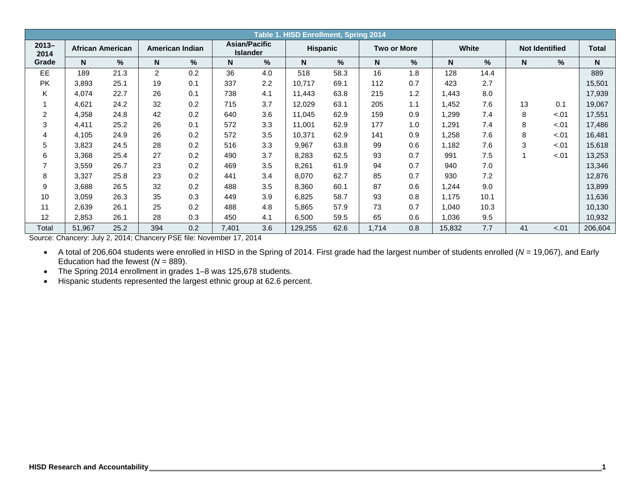|                  | Table 1. HISD Enrollment, Spring 2014<br><b>Asian/Pacific</b> |                         |                |                 |                 |     |                 |      |                    |     |              |      |    |                       |              |
|------------------|---------------------------------------------------------------|-------------------------|----------------|-----------------|-----------------|-----|-----------------|------|--------------------|-----|--------------|------|----|-----------------------|--------------|
| $2013 -$<br>2014 |                                                               | <b>African American</b> |                | American Indian | <b>Islander</b> |     | <b>Hispanic</b> |      | <b>Two or More</b> |     | <b>White</b> |      |    | <b>Not Identified</b> | <b>Total</b> |
| Grade            | N                                                             | %                       | N <sub>1</sub> | %               | N               | %   | N               | %    | N                  | %   | N            | $\%$ | N  | $\%$                  | N            |
| EE               | 189                                                           | 21.3                    | $\overline{2}$ | 0.2             | 36              | 4.0 | 518             | 58.3 | 16                 | 1.8 | 128          | 14.4 |    |                       | 889          |
| <b>PK</b>        | 3,893                                                         | 25.1                    | 19             | 0.1             | 337             | 2.2 | 10,717          | 69.1 | 112                | 0.7 | 423          | 2.7  |    |                       | 15,501       |
| K                | 4,074                                                         | 22.7                    | 26             | 0.1             | 738             | 4.1 | 11.443          | 63.8 | 215                | 1.2 | 1.443        | 8.0  |    |                       | 17,939       |
|                  | 4,621                                                         | 24.2                    | 32             | 0.2             | 715             | 3.7 | 12,029          | 63.1 | 205                | 1.1 | 1,452        | 7.6  | 13 | 0.1                   | 19,067       |
| 2                | 4,358                                                         | 24.8                    | 42             | 0.2             | 640             | 3.6 | 11,045          | 62.9 | 159                | 0.9 | 1,299        | 7.4  | 8  | $-.01$                | 17,551       |
| 3                | 4,411                                                         | 25.2                    | 26             | 0.1             | 572             | 3.3 | 11,001          | 62.9 | 177                | 1.0 | 1,291        | 7.4  | 8  | $-.01$                | 17,486       |
| 4                | 4,105                                                         | 24.9                    | 26             | 0.2             | 572             | 3.5 | 10,371          | 62.9 | 141                | 0.9 | 1,258        | 7.6  | 8  | $-.01$                | 16,481       |
| 5                | 3,823                                                         | 24.5                    | 28             | 0.2             | 516             | 3.3 | 9,967           | 63.8 | 99                 | 0.6 | 1,182        | 7.6  | 3  | $-.01$                | 15,618       |
| 6                | 3,368                                                         | 25.4                    | 27             | 0.2             | 490             | 3.7 | 8,283           | 62.5 | 93                 | 0.7 | 991          | 7.5  |    | $-.01$                | 13,253       |
|                  | 3,559                                                         | 26.7                    | 23             | 0.2             | 469             | 3.5 | 8,261           | 61.9 | 94                 | 0.7 | 940          | 7.0  |    |                       | 13,346       |
| 8                | 3,327                                                         | 25.8                    | 23             | 0.2             | 441             | 3.4 | 8,070           | 62.7 | 85                 | 0.7 | 930          | 7.2  |    |                       | 12,876       |
| 9                | 3,688                                                         | 26.5                    | 32             | 0.2             | 488             | 3.5 | 8,360           | 60.1 | 87                 | 0.6 | 1,244        | 9.0  |    |                       | 13,899       |
| 10               | 3,059                                                         | 26.3                    | 35             | 0.3             | 449             | 3.9 | 6,825           | 58.7 | 93                 | 0.8 | 1,175        | 10.1 |    |                       | 11,636       |
| 11               | 2,639                                                         | 26.1                    | 25             | 0.2             | 488             | 4.8 | 5,865           | 57.9 | 73                 | 0.7 | 1,040        | 10.3 |    |                       | 10,130       |
| 12               | 2,853                                                         | 26.1                    | 28             | 0.3             | 450             | 4.1 | 6,500           | 59.5 | 65                 | 0.6 | 1,036        | 9.5  |    |                       | 10,932       |
| Total            | 51,967                                                        | 25.2                    | 394            | 0.2             | 7,401           | 3.6 | 129,255         | 62.6 | 1,714              | 0.8 | 15,832       | 7.7  | 41 | $-.01$                | 206,604      |

Source: Chancery: July 2, 2014; Chancery PSE file: November 17, 2014

 A total of 206,604 students were enrolled in HISD in the Spring of 2014. First grade had the largest number of students enrolled ( *N* = 19,067), and Early Education had the fewest (*N* = 889).

• The Spring 2014 enrollment in grades 1-8 was 125,678 students.

Hispanic students represented the largest ethnic group at 62.6 percent.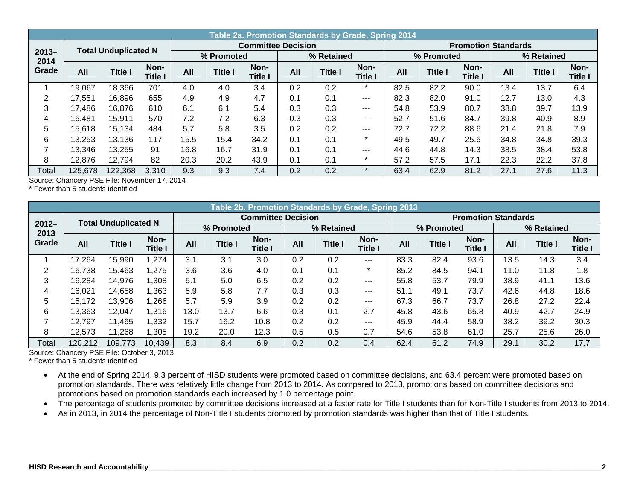|                  |         |                             |                 |      |                | Table 2a. Promotion Standards by Grade, Spring 2014 |     |                |                        |      |                |                            |      |                |                        |
|------------------|---------|-----------------------------|-----------------|------|----------------|-----------------------------------------------------|-----|----------------|------------------------|------|----------------|----------------------------|------|----------------|------------------------|
|                  |         | <b>Total Unduplicated N</b> |                 |      |                | <b>Committee Decision</b>                           |     |                |                        |      |                | <b>Promotion Standards</b> |      |                |                        |
| $2013 -$<br>2014 |         |                             |                 |      | % Promoted     |                                                     |     | % Retained     |                        |      | % Promoted     |                            |      | % Retained     |                        |
| Grade            | All     | Title I                     | Non-<br>Title I | All  | <b>Title I</b> | Non-<br><b>Title I</b>                              | All | <b>Title I</b> | Non-<br><b>Title I</b> | All  | <b>Title I</b> | Non-<br><b>Title I</b>     | All  | <b>Title I</b> | Non-<br><b>Title I</b> |
|                  | 19,067  | 18,366                      | 701             | 4.0  | 4.0            | 3.4                                                 | 0.2 | 0.2            | $\star$                | 82.5 | 82.2           | 90.0                       | 13.4 | 13.7           | 6.4                    |
| 2                | 17,551  | 16,896                      | 655             | 4.9  | 4.9            | 4.7                                                 | 0.1 | 0.1            | $--$                   | 82.3 | 82.0           | 91.0                       | 12.7 | 13.0           | 4.3                    |
| 3                | 17,486  | 16,876                      | 610             | 6.1  | 6.1            | 5.4                                                 | 0.3 | 0.3            | $--$                   | 54.8 | 53.9           | 80.7                       | 38.8 | 39.7           | 13.9                   |
| 4                | 16,481  | 15.911                      | 570             | 7.2  | 7.2            | 6.3                                                 | 0.3 | 0.3            | ---                    | 52.7 | 51.6           | 84.7                       | 39.8 | 40.9           | 8.9                    |
| 5                | 15,618  | 15,134                      | 484             | 5.7  | 5.8            | 3.5                                                 | 0.2 | 0.2            | $---$                  | 72.7 | 72.2           | 88.6                       | 21.4 | 21.8           | 7.9                    |
| 6                | 13,253  | 13,136                      | 117             | 15.5 | 15.4           | 34.2                                                | 0.1 | 0.1            | $\star$                | 49.5 | 49.7           | 25.6                       | 34.8 | 34.8           | 39.3                   |
|                  | 13,346  | 13,255                      | 91              | 16.8 | 16.7           | 31.9                                                | 0.1 | 0.1            | $- - -$                | 44.6 | 44.8           | 14.3                       | 38.5 | 38.4           | 53.8                   |
| 8                | 12,876  | 12,794                      | 82              | 20.3 | 20.2           | 43.9                                                | 0.1 | 0.1            | $\ast$                 | 57.2 | 57.5           | 17.1                       | 22.3 | 22.2           | 37.8                   |
| Total            | 125,678 | 122,368                     | 3,310           | 9.3  | 9.3            | 7.4                                                 | 0.2 | 0.2            | $\star$                | 63.4 | 62.9           | 81.2                       | 27.1 | 27.6           | 11.3                   |

\* Fewer than 5 students identified

|                  | Table 2b. Promotion Standards by Grade, Spring 2013 |                             |                        |      |                |                           |     |                |                        |      |                |                            |      |                |                        |
|------------------|-----------------------------------------------------|-----------------------------|------------------------|------|----------------|---------------------------|-----|----------------|------------------------|------|----------------|----------------------------|------|----------------|------------------------|
|                  |                                                     | <b>Total Unduplicated N</b> |                        |      |                | <b>Committee Decision</b> |     |                |                        |      |                | <b>Promotion Standards</b> |      |                |                        |
| $2012 -$<br>2013 |                                                     |                             |                        |      | % Promoted     |                           |     | % Retained     |                        |      | % Promoted     |                            |      | % Retained     |                        |
| Grade            | All                                                 | <b>Title I</b>              | Non-<br><b>Title I</b> | All  | <b>Title I</b> | Non-<br>Title I           | All | <b>Title I</b> | Non-<br><b>Title I</b> | All  | <b>Title I</b> | Non-<br><b>Title I</b>     | All  | <b>Title I</b> | Non-<br><b>Title I</b> |
|                  | 17,264                                              | 15,990                      | 1,274                  | 3.1  | 3.1            | 3.0                       | 0.2 | 0.2            | $---$                  | 83.3 | 82.4           | 93.6                       | 13.5 | 14.3           | 3.4                    |
| 2                | 16,738                                              | 15,463                      | 1,275                  | 3.6  | 3.6            | 4.0                       | 0.1 | 0.1            | $\star$                | 85.2 | 84.5           | 94.1                       | 11.0 | 11.8           | 1.8                    |
| 3                | 16,284                                              | 14,976                      | 1,308                  | 5.1  | 5.0            | 6.5                       | 0.2 | 0.2            | $---$                  | 55.8 | 53.7           | 79.9                       | 38.9 | 41.1           | 13.6                   |
| 4                | 16,021                                              | 14,658                      | 1,363                  | 5.9  | 5.8            | 7.7                       | 0.3 | 0.3            | $---$                  | 51.1 | 49.1           | 73.7                       | 42.6 | 44.8           | 18.6                   |
| 5                | 15,172                                              | 13,906                      | 1,266                  | 5.7  | 5.9            | 3.9                       | 0.2 | 0.2            | $---$                  | 67.3 | 66.7           | 73.7                       | 26.8 | 27.2           | 22.4                   |
| 6                | 13,363                                              | 12,047                      | 1,316                  | 13.0 | 13.7           | 6.6                       | 0.3 | 0.1            | 2.7                    | 45.8 | 43.6           | 65.8                       | 40.9 | 42.7           | 24.9                   |
|                  | 12,797                                              | 11,465                      | 1,332                  | 15.7 | 16.2           | 10.8                      | 0.2 | 0.2            | $---$                  | 45.9 | 44.4           | 58.9                       | 38.2 | 39.2           | 30.3                   |
| 8                | 12,573                                              | 11,268                      | 1,305                  | 19.2 | 20.0           | 12.3                      | 0.5 | 0.5            | 0.7                    | 54.6 | 53.8           | 61.0                       | 25.7 | 25.6           | 26.0                   |
| Total            | 120,212                                             | 109,773                     | 10,439                 | 8.3  | 8.4            | 6.9                       | 0.2 | 0.2            | 0.4                    | 62.4 | 61.2           | 74.9                       | 29.1 | 30.2           | 17.7                   |

Source: Chancery PSE File: October 3, 2013

\* Fewer than 5 students identified

 At the end of Spring 2014, 9.3 percent of HISD students were promoted based on committee decisions, and 63.4 percent were promoted based on promotion standards. There was relatively little change from 2013 to 2014. As compared to 2013, promotions based on committee decisions and promotions based on promotion standards each increased by 1.0 percentage point.

• The percentage of students promoted by committee decisions increased at a faster rate for Title I students than for Non-Title I students from 2013 to 2014.

As in 2013, in 2014 the percentage of Non-Title I students promoted by promotion standards was higher than that of Title I students.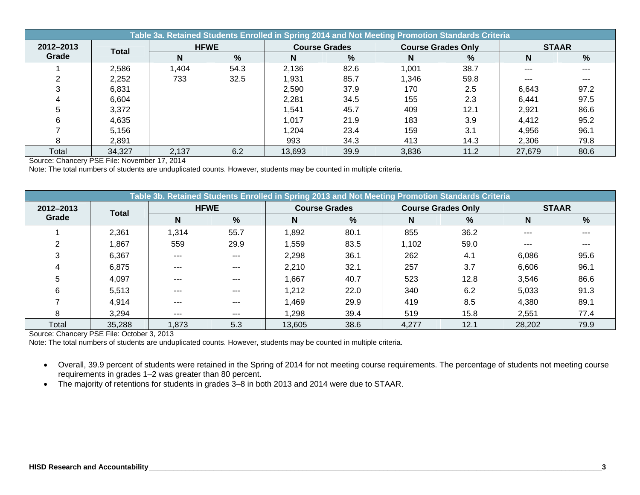|           | Table 3a. Retained Students Enrolled in Spring 2014 and Not Meeting Promotion Standards Criteria |             |      |        |                      |                           |      |              |      |  |  |  |  |  |
|-----------|--------------------------------------------------------------------------------------------------|-------------|------|--------|----------------------|---------------------------|------|--------------|------|--|--|--|--|--|
| 2012-2013 | <b>Total</b>                                                                                     | <b>HFWE</b> |      |        | <b>Course Grades</b> | <b>Course Grades Only</b> |      | <b>STAAR</b> |      |  |  |  |  |  |
| Grade     |                                                                                                  | N           | %    | N      | %                    | N                         | %    | N            | %    |  |  |  |  |  |
|           | 2,586                                                                                            | .404        | 54.3 | 2,136  | 82.6                 | 1,001                     | 38.7 | $-- -$       |      |  |  |  |  |  |
|           | 2,252                                                                                            | 733         | 32.5 | 1,931  | 85.7                 | 1,346                     | 59.8 | $- - -$      |      |  |  |  |  |  |
|           | 6,831                                                                                            |             |      | 2,590  | 37.9                 | 170                       | 2.5  | 6.643        | 97.2 |  |  |  |  |  |
|           | 6,604                                                                                            |             |      | 2,281  | 34.5                 | 155                       | 2.3  | 6,441        | 97.5 |  |  |  |  |  |
|           | 3,372                                                                                            |             |      | 1,541  | 45.7                 | 409                       | 12.1 | 2,921        | 86.6 |  |  |  |  |  |
|           | 4,635                                                                                            |             |      | 1,017  | 21.9                 | 183                       | 3.9  | 4,412        | 95.2 |  |  |  |  |  |
|           | 5.156                                                                                            |             |      | 1,204  | 23.4                 | 159                       | 3.1  | 4,956        | 96.1 |  |  |  |  |  |
|           | 2,891                                                                                            |             |      | 993    | 34.3                 | 413                       | 14.3 | 2,306        | 79.8 |  |  |  |  |  |
| Total     | 34,327                                                                                           | 2,137       | 6.2  | 13,693 | 39.9                 | 3,836                     | 11.2 | 27,679       | 80.6 |  |  |  |  |  |

Note: The total numbers of students are unduplicated counts. However, students may be counted in multiple criteria.

|           |              |         | Table 3b. Retained Students Enrolled in Spring 2013 and Not Meeting Promotion Standards Criteria |                      |      |       |                           |              |      |
|-----------|--------------|---------|--------------------------------------------------------------------------------------------------|----------------------|------|-------|---------------------------|--------------|------|
| 2012-2013 | <b>Total</b> |         | <b>HFWE</b>                                                                                      | <b>Course Grades</b> |      |       | <b>Course Grades Only</b> | <b>STAAR</b> |      |
| Grade     |              | N       | %                                                                                                | N                    | %    | N     | %                         | N            | %    |
|           | 2,361        | 1,314   | 55.7                                                                                             | 1,892                | 80.1 | 855   | 36.2                      | ---          |      |
| ⌒         | 1,867        | 559     | 29.9                                                                                             | 1,559                | 83.5 | 1,102 | 59.0                      | ---          |      |
| 3         | 6,367        | $---$   | $---$                                                                                            | 2,298                | 36.1 | 262   | 4.1                       | 6,086        | 95.6 |
|           | 6,875        | $---$   | $---$                                                                                            | 2,210                | 32.1 | 257   | 3.7                       | 6,606        | 96.1 |
| 5         | 4,097        | $---$   | $---$                                                                                            | 1,667                | 40.7 | 523   | 12.8                      | 3,546        | 86.6 |
| 6         | 5,513        | $- - -$ | $---$                                                                                            | 1,212                | 22.0 | 340   | 6.2                       | 5,033        | 91.3 |
|           | 4,914        | $---$   | $---$                                                                                            | 1,469                | 29.9 | 419   | 8.5                       | 4,380        | 89.1 |
| 8         | 3,294        | $--$    | $- - -$                                                                                          | 1,298                | 39.4 | 519   | 15.8                      | 2,551        | 77.4 |
| Total     | 35,288       | 1,873   | 5.3                                                                                              | 13,605               | 38.6 | 4,277 | 12.1                      | 28,202       | 79.9 |

Source: Chancery PSE File: October 3, 2013

Note: The total numbers of students are unduplicated counts. However, students may be counted in multiple criteria.

- Overall, 39.9 percent of students were retained in the Spring of 2014 for not meeting course requirements. The percentage of students not meeting course requirements in grades 1–2 was greater than 80 percent.
- The majority of retentions for students in grades 3–8 in both 2013 and 2014 were due to STAAR.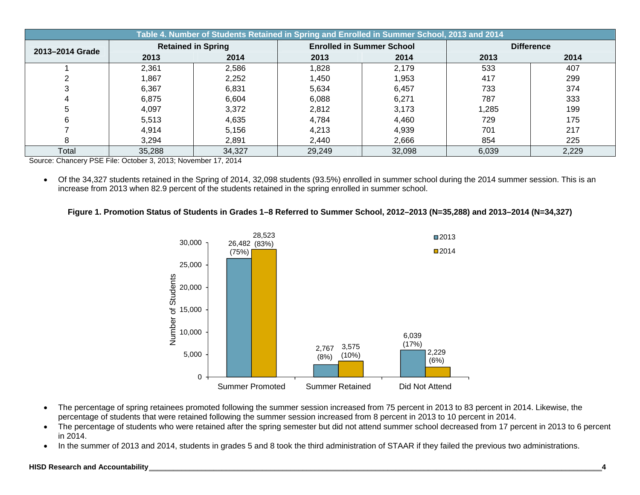|                 |                |                           | Table 4. Number of Students Retained in Spring and Enrolled in Summer School, 2013 and 2014 |                                  |       |                   |
|-----------------|----------------|---------------------------|---------------------------------------------------------------------------------------------|----------------------------------|-------|-------------------|
| 2013-2014 Grade |                | <b>Retained in Spring</b> |                                                                                             | <b>Enrolled in Summer School</b> |       | <b>Difference</b> |
|                 | 2013           | 2014                      | 2013                                                                                        | 2014                             | 2013  | 2014              |
|                 | 2,361          | 2,586                     | 1,828                                                                                       | 2,179                            | 533   | 407               |
|                 | 1,867          | 2,252                     | 1,450                                                                                       | 1,953                            | 417   | 299               |
|                 | 6,367<br>6,831 |                           | 5,634                                                                                       | 6,457                            | 733   | 374               |
|                 | 6,875          | 6,604                     | 6,088                                                                                       | 6,271                            | 787   | 333               |
| 5               | 4,097          | 3,372                     | 2,812                                                                                       | 3,173                            | ,285  | 199               |
|                 | 5,513          | 4,635                     | 4,784                                                                                       | 4,460                            | 729   | 175               |
|                 | 4,914          | 5,156                     | 4,213                                                                                       | 4,939                            | 701   | 217               |
|                 | 3,294          | 2,891                     | 2,440                                                                                       | 2,666                            | 854   | 225               |
| Total           | 35,288         | 34,327                    | 29,249                                                                                      | 32,098                           | 6,039 | 2,229             |

Source: Chancery PSE File: October 3, 2013; November 17, 2014

 Of the 34,327 students retained in the Spring of 2014, 32,098 students (93.5%) enrolled in summer school during the 2014 summer session. This is an increase from 2013 when 82.9 percent of the students retained in the spring enrolled in summer school.

#### **Figure 1. Promotion Status of Students in Grades 1–8 Referred to Summer School, 2012–2013 (N=35,288) and 2013–2014 (N=34,327)**



- The percentage of spring retainees promoted following the summer session increased from 75 percent in 2013 to 83 percent in 2014. Likewise, the percentage of students that were retained following the summer session increased from 8 percent in 2013 to 10 percent in 2014.
- The percentage of students who were retained after the spring semester but did not attend summer school decreased from 17 percent in 2013 to 6 percent in 2014.
- In the summer of 2013 and 2014, students in grades 5 and 8 took the third administration of STAAR if they failed the previous two administrations.

#### **HISD Research and Accountability \_\_\_\_\_\_\_\_\_\_\_\_\_\_\_\_\_\_\_\_\_\_\_\_\_\_\_\_\_\_\_\_\_\_\_\_\_\_\_\_\_\_\_\_\_\_\_\_\_\_\_\_\_\_\_\_\_\_\_\_\_\_\_\_\_\_\_\_\_\_\_\_\_\_\_\_\_\_\_\_\_\_\_\_\_\_\_\_\_\_\_\_\_\_\_\_\_\_\_\_\_\_\_\_\_\_\_\_\_\_\_\_4**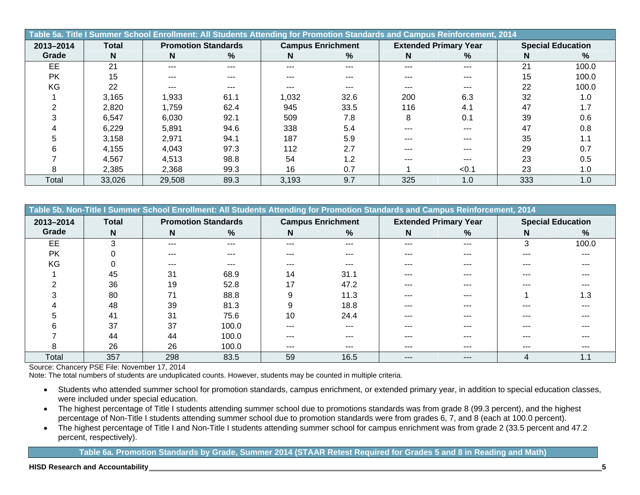|           | Table 5a. Title I Summer School Enrollment: All Students Attending for Promotion Standards and Campus Reinforcement, 2014 |                            |      |       |                          |     |                              |     |                          |  |  |  |  |  |
|-----------|---------------------------------------------------------------------------------------------------------------------------|----------------------------|------|-------|--------------------------|-----|------------------------------|-----|--------------------------|--|--|--|--|--|
| 2013-2014 | <b>Total</b>                                                                                                              | <b>Promotion Standards</b> |      |       | <b>Campus Enrichment</b> |     | <b>Extended Primary Year</b> |     | <b>Special Education</b> |  |  |  |  |  |
| Grade     | N                                                                                                                         | N.                         | %    | N     | %                        | N   | %                            | N   | %                        |  |  |  |  |  |
| EE        | 21                                                                                                                        | $---$                      | ---  | ---   | ---                      | --- | ---                          | 21  | 100.0                    |  |  |  |  |  |
| <b>PK</b> | 15                                                                                                                        | $---$                      | ---  | ---   | ---                      |     | ---                          | 15  | 100.0                    |  |  |  |  |  |
| KG        | 22                                                                                                                        | ---                        | ---  |       |                          |     | ---                          | 22  | 100.0                    |  |  |  |  |  |
|           | 3,165                                                                                                                     | 1,933                      | 61.1 | 1,032 | 32.6                     | 200 | 6.3                          | 32  | 1.0                      |  |  |  |  |  |
|           | 2,820                                                                                                                     | 1,759                      | 62.4 | 945   | 33.5                     | 116 | 4.1                          | 47  | 1.7                      |  |  |  |  |  |
|           | 6.547                                                                                                                     | 6,030                      | 92.1 | 509   | 7.8                      | 8   | 0.1                          | 39  | 0.6                      |  |  |  |  |  |
|           | 6,229                                                                                                                     | 5,891                      | 94.6 | 338   | 5.4                      | --- | ---                          | 47  | 0.8                      |  |  |  |  |  |
|           | 3,158                                                                                                                     | 2,971                      | 94.1 | 187   | 5.9                      | --- | ---                          | 35  |                          |  |  |  |  |  |
|           | 4,155                                                                                                                     | 4,043                      | 97.3 | 112   | 2.7                      |     |                              | 29  | 0.7                      |  |  |  |  |  |
|           | 4,567                                                                                                                     | 4,513                      | 98.8 | 54    | 1.2                      | --- |                              | 23  | 0.5                      |  |  |  |  |  |
|           | 2,385                                                                                                                     | 2,368                      | 99.3 | 16    | 0.7                      |     | < 0.1                        | 23  | 1.0                      |  |  |  |  |  |
| Total     | 33,026                                                                                                                    | 29,508                     | 89.3 | 3,193 | 9.7                      | 325 | 1.0                          | 333 | 1.0                      |  |  |  |  |  |

| Table 5b. Non-Title I Summer School Enrollment: All Students Attending for Promotion Standards and Campus Reinforcement, 2014 |              |         |                            |         |                          |       |                              |     |                          |  |  |  |  |
|-------------------------------------------------------------------------------------------------------------------------------|--------------|---------|----------------------------|---------|--------------------------|-------|------------------------------|-----|--------------------------|--|--|--|--|
| 2013-2014                                                                                                                     | <b>Total</b> |         | <b>Promotion Standards</b> |         | <b>Campus Enrichment</b> |       | <b>Extended Primary Year</b> |     | <b>Special Education</b> |  |  |  |  |
| Grade                                                                                                                         | N.           | N       | %                          | N       | %                        | N     | %                            | N   | %                        |  |  |  |  |
| EE                                                                                                                            | 3            | $- - -$ | ---                        | $- - -$ | ---                      | ---   | ---                          | 3   | 100.0                    |  |  |  |  |
| PK                                                                                                                            |              | $- - -$ | ---                        | ---     |                          | ---   | ---                          | --- |                          |  |  |  |  |
| KG                                                                                                                            |              | ---     | ---                        |         |                          |       |                              |     |                          |  |  |  |  |
|                                                                                                                               | 45           | 31      | 68.9                       | 14      | 31.1                     |       |                              | --- |                          |  |  |  |  |
|                                                                                                                               | 36           | 19      | 52.8                       | 17      | 47.2                     |       |                              |     |                          |  |  |  |  |
|                                                                                                                               | 80           | 71      | 88.8                       | 9       | 11.3                     |       | ---                          |     | 1.3                      |  |  |  |  |
|                                                                                                                               | 48           | 39      | 81.3                       |         | 18.8                     | ---   | ---                          | --- |                          |  |  |  |  |
|                                                                                                                               | 41           | 31      | 75.6                       | 10      | 24.4                     | ---   |                              | --- |                          |  |  |  |  |
|                                                                                                                               | 37           | 37      | 100.0                      | ---     |                          |       |                              | --- |                          |  |  |  |  |
|                                                                                                                               | 44           | 44      | 100.0                      |         |                          |       |                              |     |                          |  |  |  |  |
|                                                                                                                               | 26           | 26      | 100.0                      | ---     | ---                      | ---   | ---                          | --- |                          |  |  |  |  |
| Total                                                                                                                         | 357          | 298     | 83.5                       | 59      | 16.5                     | $---$ | ---                          | 4   | 1.1                      |  |  |  |  |

Note: The total numbers of students are unduplicated counts. However, students may be counted in multiple criteria.

- Students who attended summer school for promotion standards, campus enrichment, or extended primary year, in addition to special education classes, were included under special education.
- The highest percentage of Title I students attending summer school due to promotions standards was from grade 8 (99.3 percent), and the highest percentage of Non-Title I students attending summer school due to promotion standards were from grades 6, 7, and 8 (each at 100.0 percent).
- The highest percentage of Title I and Non-Title I students attending summer school for campus enrichment was from grade 2 (33.5 percent and 47.2 percent, respectively).

**Table 6a. Promotion Standards by Grade, Summer 2014 (STAAR Retest Required for Grades 5 and 8 in Reading and Math)**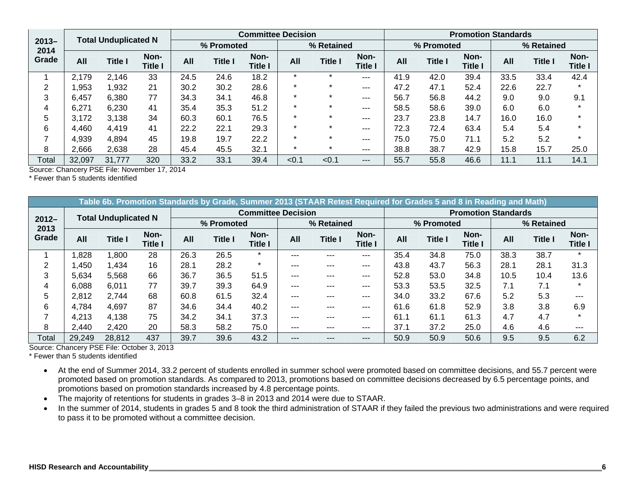|                  |        | <b>Total Unduplicated N</b> |                        |      |                | <b>Committee Decision</b> |       |                |                        |      |                | <b>Promotion Standards</b> |      |                |                        |
|------------------|--------|-----------------------------|------------------------|------|----------------|---------------------------|-------|----------------|------------------------|------|----------------|----------------------------|------|----------------|------------------------|
| $2013 -$<br>2014 |        |                             |                        |      | % Promoted     |                           |       | % Retained     |                        |      | % Promoted     |                            |      | % Retained     |                        |
| Grade            | All    | <b>Title I</b>              | Non-<br><b>Title I</b> | All  | <b>Title I</b> | Non-<br><b>Title I</b>    | All   | <b>Title I</b> | Non-<br><b>Title I</b> | All  | <b>Title I</b> | Non-<br><b>Title I</b>     | All  | <b>Title I</b> | Non-<br><b>Title I</b> |
|                  | 2,179  | 2,146                       | 33                     | 24.5 | 24.6           | 18.2                      |       |                | $- - -$                | 41.9 | 42.0           | 39.4                       | 33.5 | 33.4           | 42.4                   |
|                  | 1,953  | 1,932                       | 21                     | 30.2 | 30.2           | 28.6                      |       |                | $- - -$                | 47.2 | 47.1           | 52.4                       | 22.6 | 22.7           |                        |
| 3                | 6,457  | 6,380                       | 77                     | 34.3 | 34.1           | 46.8                      |       |                | $--$                   | 56.7 | 56.8           | 44.2                       | 9.0  | 9.0            | 9.1                    |
|                  | 6,271  | 6,230                       | 41                     | 35.4 | 35.3           | 51.2                      |       |                | $---$                  | 58.5 | 58.6           | 39.0                       | 6.0  | 6.0            | ÷                      |
| 5                | 3,172  | 3.138                       | 34                     | 60.3 | 60.1           | 76.5                      |       |                | $---$                  | 23.7 | 23.8           | 14.7                       | 16.0 | 16.0           | $\star$                |
| 6                | 4,460  | 4,419                       | 41                     | 22.2 | 22.1           | 29.3                      |       | $\star$        | $--$                   | 72.3 | 72.4           | 63.4                       | 5.4  | 5.4            | $\star$                |
|                  | 4,939  | 4,894                       | 45                     | 19.8 | 19.7           | 22.2                      |       |                | $--$                   | 75.0 | 75.0           | 71.1                       | 5.2  | 5.2            | $\star$                |
| 8                | 2,666  | 2,638                       | 28                     | 45.4 | 45.5           | 32.1                      |       |                | $---$                  | 38.8 | 38.7           | 42.9                       | 15.8 | 15.7           | 25.0                   |
| Total            | 32,097 | 31,777                      | 320                    | 33.2 | 33.1           | 39.4                      | < 0.1 | < 0.1          | $---$                  | 55.7 | 55.8           | 46.6                       | 11.1 | 11.1           | 14.1                   |

\* Fewer than 5 students identified

|                  |        |                             |                        |      |                |                           | Table 6b. Promotion Standards by Grade, Summer 2013 (STAAR Retest Required for Grades 5 and 8 in Reading and Math) |                |                        |      |                |                            |      |                |                 |
|------------------|--------|-----------------------------|------------------------|------|----------------|---------------------------|--------------------------------------------------------------------------------------------------------------------|----------------|------------------------|------|----------------|----------------------------|------|----------------|-----------------|
|                  |        | <b>Total Unduplicated N</b> |                        |      |                | <b>Committee Decision</b> |                                                                                                                    |                |                        |      |                | <b>Promotion Standards</b> |      |                |                 |
| $2012 -$<br>2013 |        |                             |                        |      | % Promoted     |                           |                                                                                                                    | % Retained     |                        |      | % Promoted     |                            |      | % Retained     |                 |
| Grade            | All    | <b>Title I</b>              | Non-<br><b>Title I</b> | All  | <b>Title I</b> | Non-<br><b>Title I</b>    | All                                                                                                                | <b>Title I</b> | Non-<br><b>Title I</b> | All  | <b>Title I</b> | Non-<br><b>Title I</b>     | All  | <b>Title I</b> | Non-<br>Title I |
|                  | .828   | 800.ا                       | 28                     | 26.3 | 26.5           | $\star$                   | ---                                                                                                                | ---            | $--$                   | 35.4 | 34.8           | 75.0                       | 38.3 | 38.7           | $\star$         |
| 2                | ,450   | .434                        | 16                     | 28.1 | 28.2           | $\star$                   | $---$                                                                                                              | ---            | $-- -$                 | 43.8 | 43.7           | 56.3                       | 28.1 | 28.1           | 31.3            |
| 3                | 5,634  | 5,568                       | 66                     | 36.7 | 36.5           | 51.5                      | $---$                                                                                                              | ---            | $-- -$                 | 52.8 | 53.0           | 34.8                       | 10.5 | 10.4           | 13.6            |
| 4                | 6,088  | 6,011                       | 77                     | 39.7 | 39.3           | 64.9                      | ---                                                                                                                | ---            | $--$                   | 53.3 | 53.5           | 32.5                       | 7.1  | 7.1            | $\star$         |
| 5                | 2,812  | 2,744                       | 68                     | 60.8 | 61.5           | 32.4                      | ---                                                                                                                | ---            | $- - -$                | 34.0 | 33.2           | 67.6                       | 5.2  | 5.3            | ---             |
| 6                | 4,784  | 4,697                       | 87                     | 34.6 | 34.4           | 40.2                      | ---                                                                                                                | ---            | $---$                  | 61.6 | 61.8           | 52.9                       | 3.8  | 3.8            | 6.9             |
|                  | 4,213  | 4,138                       | 75                     | 34.2 | 34.1           | 37.3                      | $---$                                                                                                              | ---            | $--$                   | 61.1 | 61.1           | 61.3                       | 4.7  | 4.7            | $\star$         |
| 8                | 2,440  | 2,420                       | 20                     | 58.3 | 58.2           | 75.0                      | ---                                                                                                                | ---            | $--$                   | 37.1 | 37.2           | 25.0                       | 4.6  | 4.6            | ---             |
| Total            | 29,249 | 28,812                      | 437                    | 39.7 | 39.6           | 43.2                      | ---                                                                                                                | ---            | $---$                  | 50.9 | 50.9           | 50.6                       | 9.5  | 9.5            | 6.2             |

Source: Chancery PSE File: October 3, 2013

\* Fewer than 5 students identified

- At the end of Summer 2014, 33.2 percent of students enrolled in summer school were promoted based on committee decisions, and 55.7 percent were promoted based on promotion standards. As compared to 2013, promotions based on committee decisions decreased by 6.5 percentage points, and promotions based on promotion standards increased by 4.8 percentage points.
- The majority of retentions for students in grades 3–8 in 2013 and 2014 were due to STAAR.
- In the summer of 2014, students in grades 5 and 8 took the third administration of STAAR if they failed the previous two administrations and were required to pass it to be promoted without a committee decision.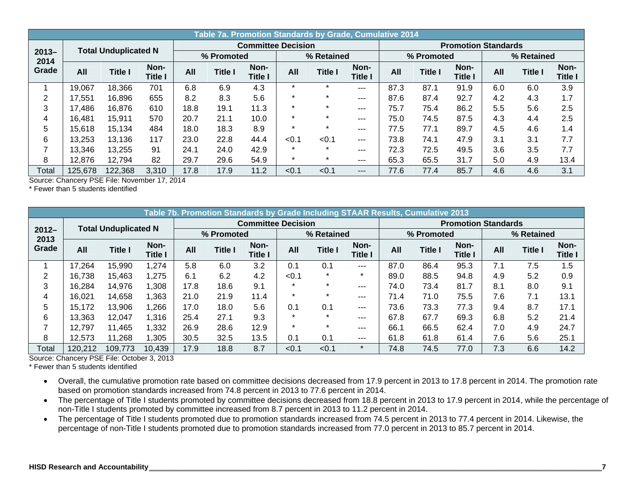|                  |         |                             |                 |      |                |                           | Table 7a. Promotion Standards by Grade, Cumulative 2014 |                |                        |      |                |                            |     |                |                        |
|------------------|---------|-----------------------------|-----------------|------|----------------|---------------------------|---------------------------------------------------------|----------------|------------------------|------|----------------|----------------------------|-----|----------------|------------------------|
|                  |         | <b>Total Unduplicated N</b> |                 |      |                | <b>Committee Decision</b> |                                                         |                |                        |      |                | <b>Promotion Standards</b> |     |                |                        |
| $2013 -$<br>2014 |         |                             |                 |      | % Promoted     |                           |                                                         | % Retained     |                        |      | % Promoted     |                            |     | % Retained     |                        |
| Grade            | All     | <b>Title I</b>              | Non-<br>Title I | All  | <b>Title I</b> | Non-<br>Title I           | All                                                     | <b>Title I</b> | Non-<br><b>Title I</b> | All  | <b>Title I</b> | Non-<br>Title l            | All | <b>Title I</b> | Non-<br><b>Title I</b> |
|                  | 19,067  | 18,366                      | 701             | 6.8  | 6.9            | 4.3                       | $\star$                                                 | $\star$        | ---                    | 87.3 | 87.1           | 91.9                       | 6.0 | 6.0            | 3.9                    |
| 2                | 17,551  | 16,896                      | 655             | 8.2  | 8.3            | 5.6                       | $\star$                                                 | ÷              | ---                    | 87.6 | 87.4           | 92.7                       | 4.2 | 4.3            | 1.7                    |
| 3                | 17,486  | 16,876                      | 610             | 18.8 | 19.1           | 11.3                      | $\star$                                                 | $\star$        | ---                    | 75.7 | 75.4           | 86.2                       | 5.5 | 5.6            | 2.5                    |
| 4                | 16.481  | 15.911                      | 570             | 20.7 | 21.1           | 10.0                      | $\star$                                                 | $\star$        | $---$                  | 75.0 | 74.5           | 87.5                       | 4.3 | 4.4            | 2.5                    |
| 5                | 15,618  | 15,134                      | 484             | 18.0 | 18.3           | 8.9                       | $\star$                                                 | $\star$        | ---                    | 77.5 | 77.1           | 89.7                       | 4.5 | 4.6            | 1.4                    |
| 6                | 13,253  | 13,136                      | 117             | 23.0 | 22.8           | 44.4                      | < 0.1                                                   | < 0.1          | $---$                  | 73.8 | 74.1           | 47.9                       | 3.1 | 3.1            | 7.7                    |
|                  | 13,346  | 13,255                      | 91              | 24.1 | 24.0           | 42.9                      | $\star$                                                 | $\star$        | $---$                  | 72.3 | 72.5           | 49.5                       | 3.6 | 3.5            | 7.7                    |
| 8                | 12,876  | 12,794                      | 82              | 29.7 | 29.6           | 54.9                      | $\star$                                                 | $\star$        | ---                    | 65.3 | 65.5           | 31.7                       | 5.0 | 4.9            | 13.4                   |
| Total            | 125,678 | 122,368                     | 3,310           | 17.8 | 17.9           | 11.2                      | < 0.1                                                   | < 0.1          | ---                    | 77.6 | 77.4           | 85.7                       | 4.6 | 4.6            | 3.1                    |

\* Fewer than 5 students identified

|                  |         |                             |                 |            |                | Table 7b. Promotion Standards by Grade Including STAAR Results, Cumulative 2013 |         |                |                 |                            |                |                 |     |                |                        |
|------------------|---------|-----------------------------|-----------------|------------|----------------|---------------------------------------------------------------------------------|---------|----------------|-----------------|----------------------------|----------------|-----------------|-----|----------------|------------------------|
|                  |         | <b>Total Unduplicated N</b> |                 |            |                | <b>Committee Decision</b>                                                       |         |                |                 | <b>Promotion Standards</b> |                |                 |     |                |                        |
| $2012 -$<br>2013 |         |                             |                 | % Promoted |                | % Retained                                                                      |         |                | % Promoted      |                            |                | % Retained      |     |                |                        |
| Grade            | All     | <b>Title I</b>              | Non-<br>Title I | All        | <b>Title I</b> | Non-<br>Title I                                                                 | All     | <b>Title I</b> | Non-<br>Title I | All                        | <b>Title I</b> | Non-<br>Title l | All | <b>Title I</b> | Non-<br><b>Title I</b> |
|                  | 17,264  | 15,990                      | 1,274           | 5.8        | 6.0            | 3.2                                                                             | 0.1     | 0.1            | $--$            | 87.0                       | 86.4           | 95.3            | 7.1 | 7.5            | 1.5                    |
| $\overline{2}$   | 16,738  | 15,463                      | 1,275           | 6.1        | 6.2            | 4.2                                                                             | < 0.1   | $\star$        | $\star$         | 89.0                       | 88.5           | 94.8            | 4.9 | 5.2            | 0.9                    |
| 3                | 16.284  | 14,976                      | 1,308           | 17.8       | 18.6           | 9.1                                                                             | $\star$ | $\star$        | $--$            | 74.0                       | 73.4           | 81.7            | 8.1 | 8.0            | 9.1                    |
| 4                | 16,021  | 14,658                      | 1,363           | 21.0       | 21.9           | 11.4                                                                            | $\star$ | $\star$        | $- - -$         | 71.4                       | 71.0           | 75.5            | 7.6 | 7.1            | 13.1                   |
| 5                | 15,172  | 13,906                      | 1,266           | 17.0       | 18.0           | 5.6                                                                             | 0.1     | 0.1            | $--$            | 73.6                       | 73.3           | 77.3            | 9.4 | 8.7            | 17.1                   |
| 6                | 13,363  | 12.047                      | 1,316           | 25.4       | 27.1           | 9.3                                                                             | $\star$ | $\star$        | $- - -$         | 67.8                       | 67.7           | 69.3            | 6.8 | 5.2            | 21.4                   |
|                  | 12.797  | 11,465                      | 1,332           | 26.9       | 28.6           | 12.9                                                                            | $\star$ | ÷              | $- - -$         | 66.1                       | 66.5           | 62.4            | 7.0 | 4.9            | 24.7                   |
| 8                | 12,573  | 11,268                      | 1,305           | 30.5       | 32.5           | 13.5                                                                            | 0.1     | 0.1            | $---$           | 61.8                       | 61.8           | 61.4            | 7.6 | 5.6            | 25.1                   |
| Total            | 120,212 | 109,773                     | 10,439          | 17.9       | 18.8           | 8.7                                                                             | < 0.1   | < 0.1          | $\star$         | 74.8                       | 74.5           | 77.0            | 7.3 | 6.6            | 14.2                   |

Source: Chancery PSE File: October 3, 2013

\* Fewer than 5 students identified

 Overall, the cumulative promotion rate based on committee decisions decreased from 17.9 percent in 2013 to 17.8 percent in 2014. The promotion rate based on promotion standards increased from 74.8 percent in 2013 to 77.6 percent in 2014.

- The percentage of Title I students promoted by committee decisions decreased from 18.8 percent in 2013 to 17.9 percent in 2014, while the percentage of non-Title I students promoted by committee increased from 8.7 percent in 2013 to 11.2 percent in 2014.
- The percentage of Title I students promoted due to promotion standards increased from 74.5 percent in 2013 to 77.4 percent in 2014. Likewise, the percentage of non-Title I students promoted due to promotion standards increased from 77.0 percent in 2013 to 85.7 percent in 2014.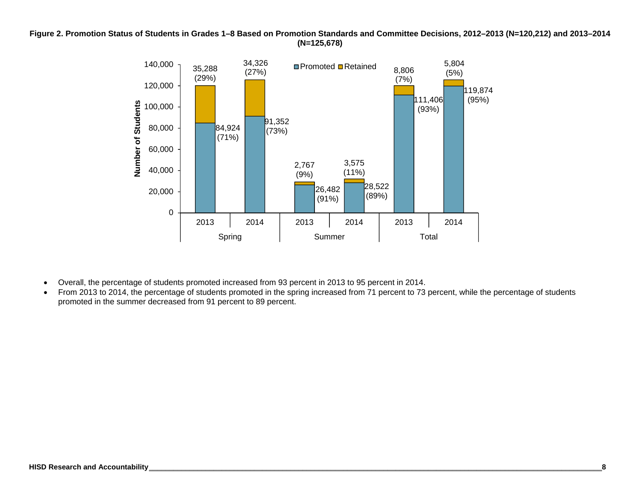**Figure 2. Promotion Status of Students in Grades 1–8 Based on Promotion Standards and Committee Decisions, 2012–2013 (N=120,212) and 2013–2014 (N=125,678)** 



- Overall, the percentage of students promoted increased from 93 percent in 2013 to 95 percent in 2014.
- From 2013 to 2014, the percentage of students promoted in the spring increased from 71 percent to 73 percent, while the percentage of students promoted in the summer decreased from 91 percent to 89 percent.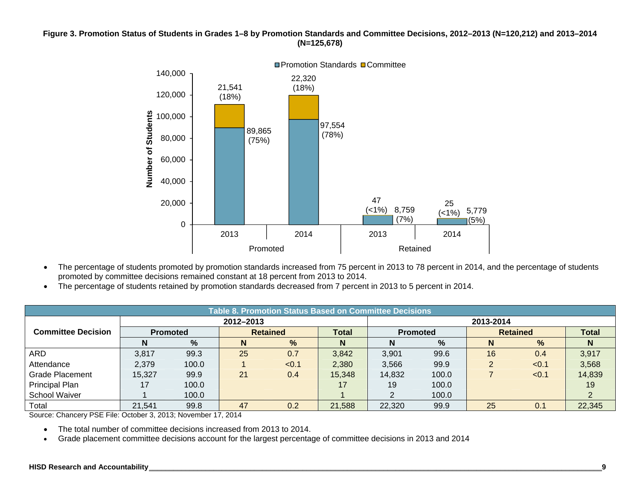#### **Figure 3. Promotion Status of Students in Grades 1–8 by Promotion Standards and Committee Decisions, 2012–2013 (N=120,212) and 2013–2014 (N=125,678)**



- The percentage of students promoted by promotion standards increased from 75 percent in 2013 to 78 percent in 2014, and the percentage of students promoted by committee decisions remained constant at 18 percent from 2013 to 2014.
- The percentage of students retained by promotion standards decreased from 7 percent in 2013 to 5 percent in 2014.

|                           | Table 8. Promotion Status Based on Committee Decisions |       |           |                 |              |                 |       |    |                 |              |  |
|---------------------------|--------------------------------------------------------|-------|-----------|-----------------|--------------|-----------------|-------|----|-----------------|--------------|--|
|                           |                                                        |       | 2012-2013 |                 |              | 2013-2014       |       |    |                 |              |  |
| <b>Committee Decision</b> | <b>Promoted</b>                                        |       |           | <b>Retained</b> | <b>Total</b> | <b>Promoted</b> |       |    | <b>Retained</b> | <b>Total</b> |  |
|                           |                                                        | $\%$  | N         | $\frac{9}{6}$   | N            | N               | %     |    | %               | N.           |  |
| ARD                       | 3,817                                                  | 99.3  | 25        | 0.7             | 3,842        | 3,901           | 99.6  | 16 | 0.4             | 3,917        |  |
| Attendance                | 2,379                                                  | 100.0 |           | < 0.1           | 2,380        | 3,566           | 99.9  |    | < 0.1           | 3,568        |  |
| <b>Grade Placement</b>    | 15,327                                                 | 99.9  | 21        | 0.4             | 15,348       | 14,832          | 100.0 |    | < 0.1           | 14,839       |  |
| <b>Principal Plan</b>     |                                                        | 100.0 |           |                 | 17           | 19              | 100.0 |    |                 | 19           |  |
| <b>School Waiver</b>      |                                                        | 100.0 |           |                 |              | 2               | 100.0 |    |                 | 2            |  |
| Total                     | 21,541                                                 | 99.8  | 47        | 0.2             | 21,588       | 22,320          | 99.9  | 25 | 0.1             | 22,345       |  |

Source: Chancery PSE File: October 3, 2013; November 17, 2014

- The total number of committee decisions increased from 2013 to 2014.
- $\bullet$ Grade placement committee decisions account for the largest percentage of committee decisions in 2013 and 2014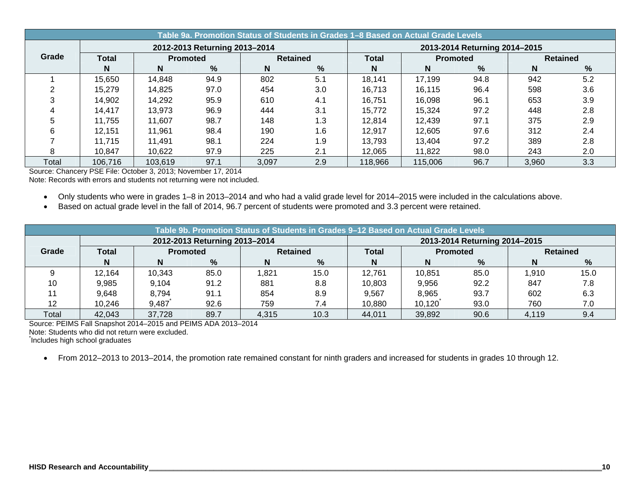|       | Table 9a. Promotion Status of Students in Grades 1–8 Based on Actual Grade Levels |         |                               |       |                 |                               |                 |      |                 |     |  |  |
|-------|-----------------------------------------------------------------------------------|---------|-------------------------------|-------|-----------------|-------------------------------|-----------------|------|-----------------|-----|--|--|
|       |                                                                                   |         | 2012-2013 Returning 2013-2014 |       |                 | 2013-2014 Returning 2014-2015 |                 |      |                 |     |  |  |
| Grade | <b>Total</b>                                                                      |         | <b>Promoted</b>               |       | <b>Retained</b> |                               | <b>Promoted</b> |      | <b>Retained</b> |     |  |  |
|       | N                                                                                 | N       | %                             | N     | %               | N                             | N               | $\%$ | N               | %   |  |  |
|       | 15,650                                                                            | 14,848  | 94.9                          | 802   | 5.1             | 18,141                        | 17,199          | 94.8 | 942             | 5.2 |  |  |
|       | 15,279                                                                            | 14,825  | 97.0                          | 454   | 3.0             | 16,713                        | 16,115          | 96.4 | 598             | 3.6 |  |  |
|       | 14,902                                                                            | 14,292  | 95.9                          | 610   | 4.1             | 16,751                        | 16,098          | 96.1 | 653             | 3.9 |  |  |
|       | 14,417                                                                            | 13,973  | 96.9                          | 444   | 3.1             | 15,772                        | 15,324          | 97.2 | 448             | 2.8 |  |  |
|       | 11,755                                                                            | 11,607  | 98.7                          | 148   | 1.3             | 12,814                        | 12,439          | 97.1 | 375             | 2.9 |  |  |
|       | 12,151                                                                            | 11,961  | 98.4                          | 190   | 1.6             | 12,917                        | 12,605          | 97.6 | 312             | 2.4 |  |  |
|       | 11,715                                                                            | 11,491  | 98.1                          | 224   | 1.9             | 13,793                        | 13,404          | 97.2 | 389             | 2.8 |  |  |
|       | 10.847                                                                            | 10,622  | 97.9                          | 225   | 2.1             | 12,065                        | 11,822          | 98.0 | 243             | 2.0 |  |  |
| Total | 106,716                                                                           | 103,619 | 97.1                          | 3,097 | 2.9             | 118,966                       | 115,006         | 96.7 | 3,960           | 3.3 |  |  |

Source: Chancery PSE File: October 3, 2013; November 17, 2014

Note: Records with errors and students not returning were not included.

- Only students who were in grades 1–8 in 2013–2014 and who had a valid grade level for 2014–2015 were included in the calculations above.
- Based on actual grade level in the fall of 2014, 96.7 percent of students were promoted and 3.3 percent were retained.

|       | Table 9b. Promotion Status of Students in Grades 9–12 Based on Actual Grade Levels |        |                               |                 |      |                               |                 |      |                 |      |  |  |
|-------|------------------------------------------------------------------------------------|--------|-------------------------------|-----------------|------|-------------------------------|-----------------|------|-----------------|------|--|--|
|       |                                                                                    |        | 2012-2013 Returning 2013-2014 |                 |      | 2013-2014 Returning 2014-2015 |                 |      |                 |      |  |  |
| Grade | Total<br><b>Promoted</b>                                                           |        |                               | <b>Retained</b> |      | <b>Total</b>                  | <b>Promoted</b> |      | <b>Retained</b> |      |  |  |
|       | N                                                                                  |        | %                             | N               | %    | N                             | N               | ℅    | N               | %    |  |  |
|       | 12,164                                                                             | 10,343 | 85.0                          | 821. ا          | 15.0 | 12,761                        | 10,851          | 85.0 | 1,910           | 15.0 |  |  |
| 10    | 9.985                                                                              | 9,104  | 91.2                          | 881             | 8.8  | 10,803                        | 9,956           | 92.2 | 847             | 7.8  |  |  |
|       | 9,648                                                                              | 8.794  | 91.1                          | 854             | 8.9  | 9,567                         | 8,965           | 93.7 | 602             | 6.3  |  |  |
| 12    | 10,246                                                                             | 9,487  | 92.6                          | 759             | 7.4  | 10,880                        | 10,120          | 93.0 | 760             | 7.0  |  |  |
| Total | 42,043                                                                             | 37,728 | 89.7                          | 4,315           | 10.3 | 44,011                        | 39,892          | 90.6 | 4.119           | 9.4  |  |  |

Source: PEIMS Fall Snapshot 2014–2015 and PEIMS ADA 2013–2014

Note: Students who did not return were excluded.

\* Includes high school graduates

From 2012–2013 to 2013–2014, the promotion rate remained constant for ninth graders and increased for students in grades 10 through 12.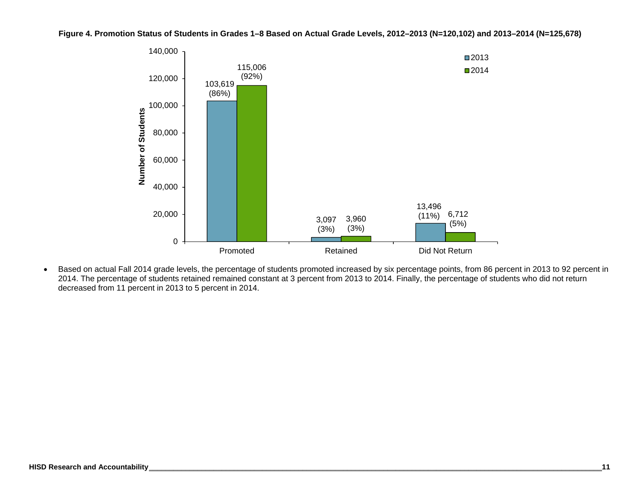

**Figure 4. Promotion Status of Students in Grades 1–8 Based on Actual Grade Levels, 2012–2013 (N=120,102) and 2013–2014 (N=125,678)** 

 Based on actual Fall 2014 grade levels, the percentage of students promoted increased by six percentage points, from 86 percent in 2013 to 92 percent in 2014. The percentage of students retained remained constant at 3 percent from 2013 to 2014. Finally, the percentage of students who did not return decreased from 11 percent in 2013 to 5 percent in 2014.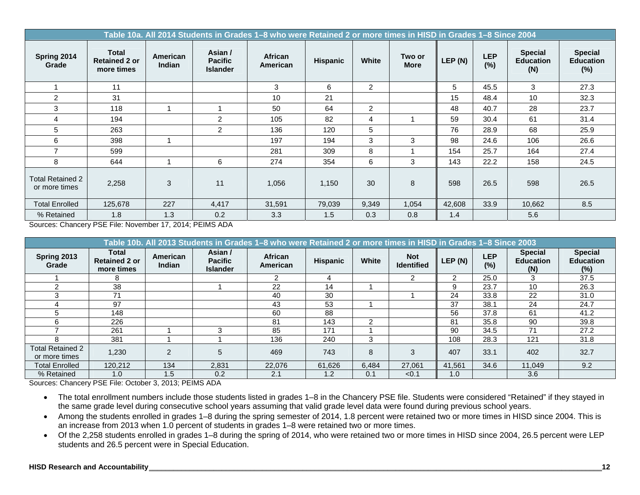|                                          | Table 10a. All 2014 Students in Grades 1-8 who were Retained 2 or more times in HISD in Grades 1-8 Since 2004 |                           |                                              |                            |                 |                |                       |         |                   |                                           |                                           |
|------------------------------------------|---------------------------------------------------------------------------------------------------------------|---------------------------|----------------------------------------------|----------------------------|-----------------|----------------|-----------------------|---------|-------------------|-------------------------------------------|-------------------------------------------|
| Spring 2014<br>Grade                     | <b>Total</b><br><b>Retained 2 or</b><br>more times                                                            | American<br><b>Indian</b> | Asian /<br><b>Pacific</b><br><b>Islander</b> | <b>African</b><br>American | <b>Hispanic</b> | White          | Two or<br><b>More</b> | LEP (N) | <b>LEP</b><br>(%) | <b>Special</b><br><b>Education</b><br>(N) | <b>Special</b><br><b>Education</b><br>(%) |
|                                          | 11                                                                                                            |                           |                                              | 3                          | 6               | $\overline{2}$ |                       | 5       | 45.5              | 3                                         | 27.3                                      |
| $\overline{2}$                           | 31                                                                                                            |                           |                                              | 10                         | 21              |                |                       | 15      | 48.4              | 10                                        | 32.3                                      |
| 3                                        | 118                                                                                                           |                           |                                              | 50                         | 64              | 2              |                       | 48      | 40.7              | 28                                        | 23.7                                      |
| 4                                        | 194                                                                                                           |                           | 2                                            | 105                        | 82              | 4              |                       | 59      | 30.4              | 61                                        | 31.4                                      |
| 5                                        | 263                                                                                                           |                           | 2                                            | 136                        | 120             | 5              |                       | 76      | 28.9              | 68                                        | 25.9                                      |
| 6                                        | 398                                                                                                           |                           |                                              | 197                        | 194             | 3              | 3                     | 98      | 24.6              | 106                                       | 26.6                                      |
| $\overline{7}$                           | 599                                                                                                           |                           |                                              | 281                        | 309             | 8              |                       | 154     | 25.7              | 164                                       | 27.4                                      |
| 8                                        | 644                                                                                                           |                           | 6                                            | 274                        | 354             | 6              | 3                     | 143     | 22.2              | 158                                       | 24.5                                      |
| <b>Total Retained 2</b><br>or more times | 2,258                                                                                                         | 3                         | 11                                           | 1,056                      | 1,150           | 30             | 8                     | 598     | 26.5              | 598                                       | 26.5                                      |
| <b>Total Enrolled</b>                    | 125,678                                                                                                       | 227                       | 4,417                                        | 31,591                     | 79,039          | 9,349          | 1,054                 | 42,608  | 33.9              | 10,662                                    | 8.5                                       |
| % Retained                               | 1.8                                                                                                           | 1.3                       | 0.2                                          | 3.3                        | 1.5             | 0.3            | 0.8                   | 1.4     |                   | 5.6                                       |                                           |

Sources: Chancery PSE File: November 17, 2014; PEIMS ADA

|                                          | Table 10b. All 2013 Students in Grades 1–8 who were Retained 2 or more times in HISD in Grades 1–8 Since 2003 |                    |                                              |                     |                 |       |                                 |        |                   |                                           |                                              |
|------------------------------------------|---------------------------------------------------------------------------------------------------------------|--------------------|----------------------------------------------|---------------------|-----------------|-------|---------------------------------|--------|-------------------|-------------------------------------------|----------------------------------------------|
| Spring 2013<br>Grade                     | Total<br><b>Retained 2 or</b><br>more times                                                                   | American<br>Indian | Asian /<br><b>Pacific</b><br><b>Islander</b> | African<br>American | <b>Hispanic</b> | White | <b>Not</b><br><b>Identified</b> | LEP(N) | <b>LEP</b><br>(%) | <b>Special</b><br><b>Education</b><br>(N) | <b>Special</b><br><b>Education</b><br>$(\%)$ |
|                                          | 8                                                                                                             |                    |                                              | າ                   | 4               |       | っ                               | 2      | 25.0              | 3                                         | 37.5                                         |
|                                          | 38                                                                                                            |                    |                                              | 22                  | 14              |       |                                 | 9      | 23.7              | 10                                        | 26.3                                         |
|                                          | 71                                                                                                            |                    |                                              | 40                  | 30              |       |                                 | 24     | 33.8              | 22                                        | 31.0                                         |
|                                          | 97                                                                                                            |                    |                                              | 43                  | 53              |       |                                 | 37     | 38.1              | 24                                        | 24.7                                         |
|                                          | 148                                                                                                           |                    |                                              | 60                  | 88              |       |                                 | 56     | 37.8              | 61                                        | 41.2                                         |
| h.                                       | 226                                                                                                           |                    |                                              | 81                  | 143             | っ     |                                 | 81     | 35.8              | 90                                        | 39.8                                         |
|                                          | 261                                                                                                           |                    | З                                            | 85                  | 171             |       |                                 | 90     | 34.5              | 71                                        | 27.2                                         |
| я                                        | 381                                                                                                           |                    |                                              | 136                 | 240             | 3     |                                 | 108    | 28.3              | 121                                       | 31.8                                         |
| <b>Total Retained 2</b><br>or more times | 1,230                                                                                                         | $\overline{2}$     | 5                                            | 469                 | 743             | 8     | 3                               | 407    | 33.1              | 402                                       | 32.7                                         |
| <b>Total Enrolled</b>                    | 120,212                                                                                                       | 134                | 2,831                                        | 22,076              | 61,626          | 6,484 | 27,061                          | 41,561 | 34.6              | 11,049                                    | 9.2                                          |
| % Retained                               | 1.0                                                                                                           | 1.5                | 0.2                                          | 2.1                 | 1.2             | 0.1   | < 0.1                           | 1.0    |                   | 3.6                                       |                                              |

Sources: Chancery PSE File: October 3, 2013; PEIMS ADA

- The total enrollment numbers include those students listed in grades 1–8 in the Chancery PSE file. Students were considered "Retained" if they stayed in the same grade level during consecutive school years assuming that valid grade level data were found during previous school years.
- Among the students enrolled in grades 1–8 during the spring semester of 2014, 1.8 percent were retained two or more times in HISD since 2004. This is an increase from 2013 when 1.0 percent of students in grades 1–8 were retained two or more times.
- Of the 2,258 students enrolled in grades 1–8 during the spring of 2014, who were retained two or more times in HISD since 2004, 26.5 percent were LEP students and 26.5 percent were in Special Education.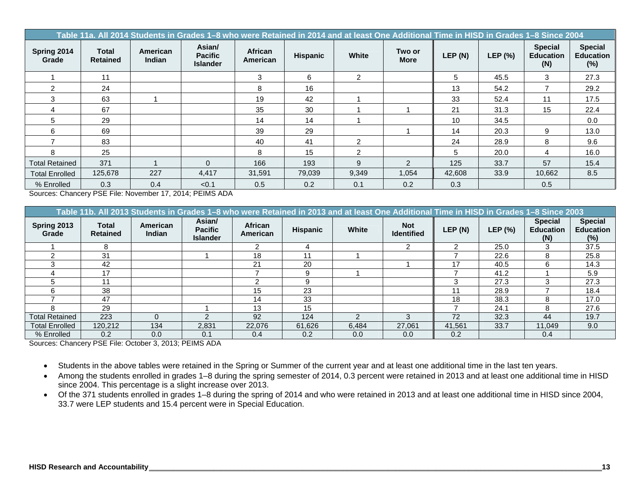|                       | Table 11a. All 2014 Students in Grades 1–8 who were Retained in 2014 and at least One Additional Time in HISD in Grades 1–8 Since 2004 |                           |                                             |                     |                 |              |                       |         |         |                                           |                                              |
|-----------------------|----------------------------------------------------------------------------------------------------------------------------------------|---------------------------|---------------------------------------------|---------------------|-----------------|--------------|-----------------------|---------|---------|-------------------------------------------|----------------------------------------------|
| Spring 2014<br>Grade  | Total<br><b>Retained</b>                                                                                                               | American<br><b>Indian</b> | Asian/<br><b>Pacific</b><br><b>Islander</b> | African<br>American | <b>Hispanic</b> | <b>White</b> | Two or<br><b>More</b> | LEP (N) | LEP (%) | <b>Special</b><br><b>Education</b><br>(N) | <b>Special</b><br><b>Education</b><br>$(\%)$ |
|                       | 11                                                                                                                                     |                           |                                             | 3                   | 6               | 2            |                       | 5       | 45.5    | 3                                         | 27.3                                         |
| $\mathcal{P}$         | 24                                                                                                                                     |                           |                                             | 8                   | 16              |              |                       | 13      | 54.2    |                                           | 29.2                                         |
| 3                     | 63                                                                                                                                     |                           |                                             | 19                  | 42              |              |                       | 33      | 52.4    | 11                                        | 17.5                                         |
| $\overline{4}$        | 67                                                                                                                                     |                           |                                             | 35                  | 30              |              |                       | 21      | 31.3    | 15                                        | 22.4                                         |
| 5                     | 29                                                                                                                                     |                           |                                             | 14                  | 14              |              |                       | 10      | 34.5    |                                           | 0.0                                          |
| 6                     | 69                                                                                                                                     |                           |                                             | 39                  | 29              |              |                       | 14      | 20.3    | 9                                         | 13.0                                         |
|                       | 83                                                                                                                                     |                           |                                             | 40                  | 41              | 2            |                       | 24      | 28.9    | 8                                         | 9.6                                          |
| 8                     | 25                                                                                                                                     |                           |                                             | 8                   | 15              | 2            |                       | 5       | 20.0    | 4                                         | 16.0                                         |
| <b>Total Retained</b> | 371                                                                                                                                    |                           | $\Omega$                                    | 166                 | 193             | 9            | $\mathfrak{D}$        | 125     | 33.7    | 57                                        | 15.4                                         |
| <b>Total Enrolled</b> | 125,678                                                                                                                                | 227                       | 4,417                                       | 31,591              | 79,039          | 9,349        | 1,054                 | 42,608  | 33.9    | 10,662                                    | 8.5                                          |
| % Enrolled            | 0.3                                                                                                                                    | 0.4                       | < 0.1                                       | 0.5                 | 0.2             | 0.1          | 0.2                   | 0.3     |         | 0.5                                       |                                              |

Sources: Chancery PSE File: November 17, 2014; PEIMS ADA

|                       | Table 11b. All 2013 Students in Grades 1–8 who were Retained in 2013 and at least One Additional Time in HISD in Grades 1–8 Since 2003 |                           |                                             |                     |                 |       |                                 |        |         |                                           |                                              |
|-----------------------|----------------------------------------------------------------------------------------------------------------------------------------|---------------------------|---------------------------------------------|---------------------|-----------------|-------|---------------------------------|--------|---------|-------------------------------------------|----------------------------------------------|
| Spring 2013<br>Grade  | Total<br><b>Retained</b>                                                                                                               | American<br><b>Indian</b> | Asian/<br><b>Pacific</b><br><b>Islander</b> | African<br>American | <b>Hispanic</b> | White | <b>Not</b><br><b>Identified</b> | LEP(N) | LEP (%) | <b>Special</b><br><b>Education</b><br>(N) | <b>Special</b><br><b>Education</b><br>$(\%)$ |
|                       | я                                                                                                                                      |                           |                                             |                     | 4               |       | ົ                               | າ      | 25.0    |                                           | 37.5                                         |
|                       | 31                                                                                                                                     |                           |                                             | 18                  | 11              |       |                                 |        | 22.6    | ö                                         | 25.8                                         |
|                       | 42                                                                                                                                     |                           |                                             | 21                  | 20              |       |                                 | 17     | 40.5    |                                           | 14.3                                         |
|                       | 17                                                                                                                                     |                           |                                             |                     | 9               |       |                                 |        | 41.2    |                                           | 5.9                                          |
|                       | 11                                                                                                                                     |                           |                                             |                     | 9               |       |                                 | 3      | 27.3    |                                           | 27.3                                         |
|                       | 38                                                                                                                                     |                           |                                             | 15                  | 23              |       |                                 | 11     | 28.9    |                                           | 18.4                                         |
|                       | 47                                                                                                                                     |                           |                                             | 14                  | 33              |       |                                 | 18     | 38.3    |                                           | 17.0                                         |
|                       | 29                                                                                                                                     |                           |                                             | 13                  | 15              |       |                                 |        | 24.1    | 8                                         | 27.6                                         |
| <b>Total Retained</b> | 223                                                                                                                                    | $\Omega$                  |                                             | 92                  | 124             |       | з                               | 72     | 32.3    | 44                                        | 19.7                                         |
| <b>Total Enrolled</b> | 120,212                                                                                                                                | 134                       | 2,831                                       | 22,076              | 61,626          | 6,484 | 27,061                          | 41,561 | 33.7    | 11,049                                    | 9.0                                          |
| % Enrolled            | 0.2                                                                                                                                    | 0.0                       | 0.1                                         | 0.4                 | 0.2             | 0.0   | 0.0                             | 0.2    |         | 0.4                                       |                                              |

Sources: Chancery PSE File: October 3, 2013; PEIMS ADA

- Students in the above tables were retained in the Spring or Summer of the current year and at least one additional time in the last ten years.
- Among the students enrolled in grades 1–8 during the spring semester of 2014, 0.3 percent were retained in 2013 and at least one additional time in HISD since 2004. This percentage is a slight increase over 2013.
- Of the 371 students enrolled in grades 1–8 during the spring of 2014 and who were retained in 2013 and at least one additional time in HISD since 2004, 33.7 were LEP students and 15.4 percent were in Special Education.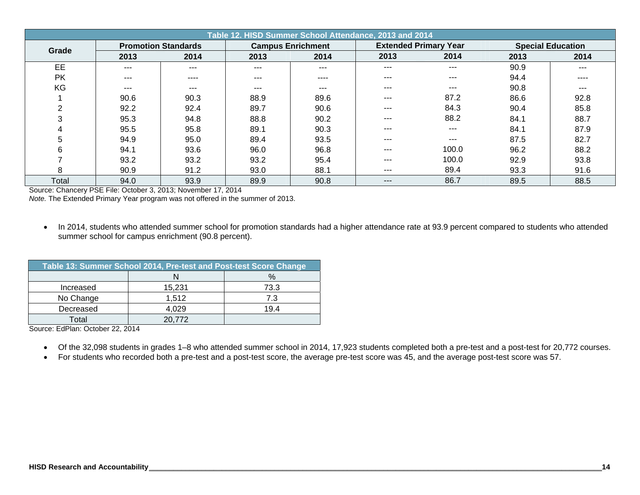| Table 12. HISD Summer School Attendance, 2013 and 2014 |         |                            |                          |         |         |                              |      |                          |  |  |
|--------------------------------------------------------|---------|----------------------------|--------------------------|---------|---------|------------------------------|------|--------------------------|--|--|
| Grade                                                  |         | <b>Promotion Standards</b> | <b>Campus Enrichment</b> |         |         | <b>Extended Primary Year</b> |      | <b>Special Education</b> |  |  |
|                                                        | 2013    | 2014                       | 2013                     | 2014    | 2013    | 2014                         | 2013 | 2014                     |  |  |
| EE                                                     | $- - -$ | $- - -$                    | $- - -$                  | $- - -$ | $---$   | $---$                        | 90.9 | $--$                     |  |  |
| <b>PK</b>                                              | ---     | ----                       | ---                      | ----    | ---     | $--$                         | 94.4 | ----                     |  |  |
| KG                                                     | $---$   | $---$                      | ---                      | ---     | $---$   | ---                          | 90.8 | ---                      |  |  |
|                                                        | 90.6    | 90.3                       | 88.9                     | 89.6    | $---$   | 87.2                         | 86.6 | 92.8                     |  |  |
| 2                                                      | 92.2    | 92.4                       | 89.7                     | 90.6    | $---$   | 84.3                         | 90.4 | 85.8                     |  |  |
| 3                                                      | 95.3    | 94.8                       | 88.8                     | 90.2    | $- - -$ | 88.2                         | 84.1 | 88.7                     |  |  |
| 4                                                      | 95.5    | 95.8                       | 89.1                     | 90.3    | $- - -$ | $---$                        | 84.1 | 87.9                     |  |  |
| 5                                                      | 94.9    | 95.0                       | 89.4                     | 93.5    | $---$   | ---                          | 87.5 | 82.7                     |  |  |
| 6                                                      | 94.1    | 93.6                       | 96.0                     | 96.8    | ---     | 100.0                        | 96.2 | 88.2                     |  |  |
|                                                        | 93.2    | 93.2                       | 93.2                     | 95.4    | $- - -$ | 100.0                        | 92.9 | 93.8                     |  |  |
| 8                                                      | 90.9    | 91.2                       | 93.0                     | 88.1    | $---$   | 89.4                         | 93.3 | 91.6                     |  |  |
| Total                                                  | 94.0    | 93.9                       | 89.9                     | 90.8    | $---$   | 86.7                         | 89.5 | 88.5                     |  |  |

Source: Chancery PSE File: October 3, 2013; November 17, 2014

*Note.* The Extended Primary Year program was not offered in the summer of 2013.

• In 2014, students who attended summer school for promotion standards had a higher attendance rate at 93.9 percent compared to students who attended summer school for campus enrichment (90.8 percent).

| Table 13: Summer School 2014, Pre-test and Post-test Score Change |        |      |  |  |  |  |  |  |  |
|-------------------------------------------------------------------|--------|------|--|--|--|--|--|--|--|
|                                                                   |        | $\%$ |  |  |  |  |  |  |  |
| Increased                                                         | 15,231 | 73.3 |  |  |  |  |  |  |  |
| No Change                                                         | 1,512  | 7.3  |  |  |  |  |  |  |  |
| Decreased                                                         | 4.029  | 19 4 |  |  |  |  |  |  |  |
| Total                                                             | 20.772 |      |  |  |  |  |  |  |  |

Source: EdPlan: October 22, 2014

- Of the 32,098 students in grades 1–8 who attended summer school in 2014, 17,923 students completed both a pre-test and a post-test for 20,772 courses.
- For students who recorded both a pre-test and a post-test score, the average pre-test score was 45, and the average post-test score was 57.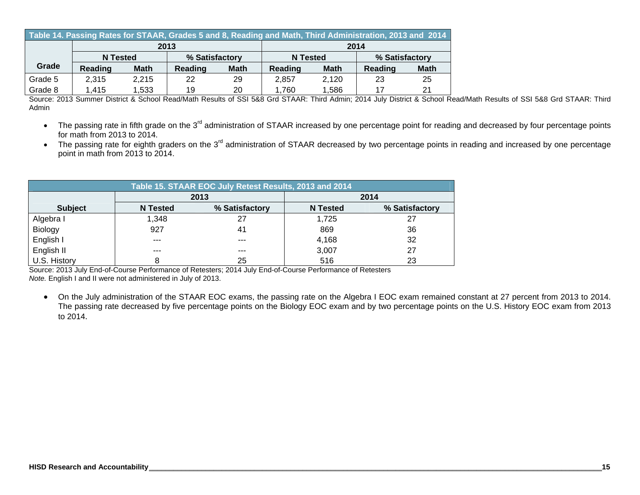|         | Table 14. Passing Rates for STAAR, Grades 5 and 8, Reading and Math, Third Administration, 2013 and 2014 |             |                |             |                 |                |         |             |  |  |  |
|---------|----------------------------------------------------------------------------------------------------------|-------------|----------------|-------------|-----------------|----------------|---------|-------------|--|--|--|
|         |                                                                                                          |             | 2013           |             |                 |                | 2014    |             |  |  |  |
|         | N Tested                                                                                                 |             | % Satisfactory |             | <b>N</b> Tested | % Satisfactory |         |             |  |  |  |
| Grade   | <b>Reading</b>                                                                                           | <b>Math</b> | <b>Reading</b> | <b>Math</b> | Reading         | <b>Math</b>    | Reading | <b>Math</b> |  |  |  |
| Grade 5 | 2.315                                                                                                    | 2.215       | 22             | 29          | 2.857           | 2.120          | 23      | 25          |  |  |  |
| Grade 8 | 1.415                                                                                                    | 1,533       | 19             | 20          | 1,760           | 1,586          | 17      | 21          |  |  |  |

Source: 2013 Summer District & School Read/Math Results of SSI 5&8 Grd STAAR: Third Admin; 2014 July District & School Read/Math Results of SSI 5&8 Grd STAAR: Third Admin

- The passing rate in fifth grade on the 3<sup>rd</sup> administration of STAAR increased by one percentage point for reading and decreased by four percentage points for math from 2013 to 2014.
- The passing rate for eighth graders on the 3<sup>rd</sup> administration of STAAR decreased by two percentage points in reading and increased by one percentage point in math from 2013 to 2014.

| Table 15. STAAR EOC July Retest Results, 2013 and 2014 |                 |                |                 |                |  |  |  |  |  |
|--------------------------------------------------------|-----------------|----------------|-----------------|----------------|--|--|--|--|--|
| 2013<br>2014                                           |                 |                |                 |                |  |  |  |  |  |
| <b>Subject</b>                                         | <b>N</b> Tested | % Satisfactory | <b>N</b> Tested | % Satisfactory |  |  |  |  |  |
| Algebra I                                              | 1,348           | 27             | 1,725           |                |  |  |  |  |  |
| Biology                                                | 927             | 41             | 869             | 36             |  |  |  |  |  |
| English I                                              | ---             | $- - -$        | 4,168           | 32             |  |  |  |  |  |
| English II                                             | $- - -$         | $- - -$        | 3,007           | 27             |  |  |  |  |  |
| U.S. History                                           | 8               | 25             | 516             | 23             |  |  |  |  |  |

Source: 2013 July End-of-Course Performance of Retesters; 2014 July End-of-Course Performance of Retesters *Note.* English I and II were not administered in July of 2013.

 On the July administration of the STAAR EOC exams, the passing rate on the Algebra I EOC exam remained constant at 27 percent from 2013 to 2014. The passing rate decreased by five percentage points on the Biology EOC exam and by two percentage points on the U.S. History EOC exam from 2013 to 2014.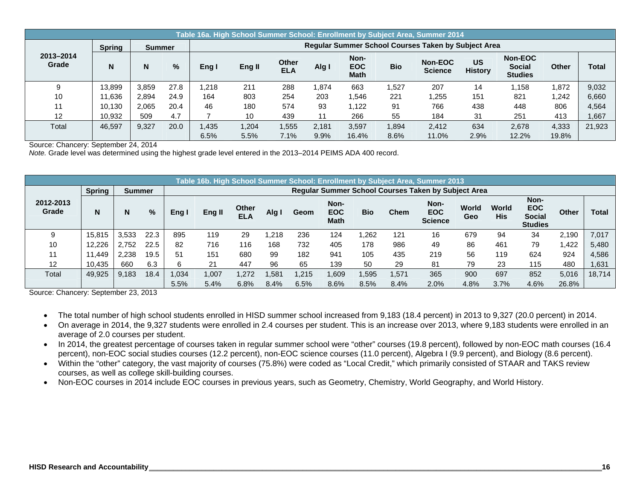|                    | Table 16a. High School Summer School: Enrollment by Subject Area, Summer 2014 |               |      |                                                            |             |                            |       |                                   |            |                           |                             |                                            |              |        |  |  |  |  |
|--------------------|-------------------------------------------------------------------------------|---------------|------|------------------------------------------------------------|-------------|----------------------------|-------|-----------------------------------|------------|---------------------------|-----------------------------|--------------------------------------------|--------------|--------|--|--|--|--|
|                    | <b>Spring</b>                                                                 | <b>Summer</b> |      | <b>Regular Summer School Courses Taken by Subject Area</b> |             |                            |       |                                   |            |                           |                             |                                            |              |        |  |  |  |  |
| 2013-2014<br>Grade |                                                                               | N             | %    | Eng I                                                      | Eng II      | <b>Other</b><br><b>ELA</b> | Alg I | Non-<br><b>EOC</b><br><b>Math</b> | <b>Bio</b> | Non-EOC<br><b>Science</b> | <b>US</b><br><b>History</b> | Non-EOC<br><b>Social</b><br><b>Studies</b> | <b>Other</b> | Total  |  |  |  |  |
|                    | 13.899                                                                        | 3.859         | 27.8 | .218                                                       | 211         | 288                        | 1.874 | 663                               | 1.527      | 207                       | 14                          | 1.158                                      | 1,872        | 9,032  |  |  |  |  |
| 10                 | 11.636                                                                        | 2.894         | 24.9 | 164                                                        | 803         | 254                        | 203   | .546                              | 221        | ,255                      | 151                         | 821                                        | 1,242        | 6,660  |  |  |  |  |
| 11                 | 10.130                                                                        | 2.065         | 20.4 | 46                                                         | 180         | 574                        | 93    | .122                              | 91         | 766                       | 438                         | 448                                        | 806          | 4,564  |  |  |  |  |
| 12                 | 10.932                                                                        | 509           | 4.7  |                                                            | 10          | 439                        | 11    | 266                               | 55         | 184                       | 31                          | 251                                        | 413          | 1,667  |  |  |  |  |
| Total              | 46.597                                                                        | 9,327         | 20.0 | .435                                                       | <b>204.</b> | .555                       | 2.181 | 3.597                             | 1,894      | 2,412                     | 634                         | 2.678                                      | 4,333        | 21,923 |  |  |  |  |
|                    |                                                                               |               |      | 6.5%                                                       | 5.5%        | 7.1%                       | 9.9%  | 16.4%                             | 8.6%       | 11.0%                     | 2.9%                        | 12.2%                                      | 19.8%        |        |  |  |  |  |

Source: Chancery: September 24, 2014

*Note.* Grade level was determined using the highest grade level entered in the 2013–2014 PEIMS ADA 400 record.

|                    | Table 16b. High School Summer School: Enrollment by Subject Area, Summer 2013 |               |      |                                                            |        |                            |       |      |                                   |            |             |                                      |              |                     |                                                       |              |              |  |
|--------------------|-------------------------------------------------------------------------------|---------------|------|------------------------------------------------------------|--------|----------------------------|-------|------|-----------------------------------|------------|-------------|--------------------------------------|--------------|---------------------|-------------------------------------------------------|--------------|--------------|--|
|                    | <b>Spring</b>                                                                 | <b>Summer</b> |      | <b>Regular Summer School Courses Taken by Subject Area</b> |        |                            |       |      |                                   |            |             |                                      |              |                     |                                                       |              |              |  |
| 2012-2013<br>Grade | N                                                                             | N             | %    | Eng I                                                      | Eng II | <b>Other</b><br><b>ELA</b> | Alg I | Geom | Non-<br><b>EOC</b><br><b>Math</b> | <b>Bio</b> | <b>Chem</b> | Non-<br><b>EOC</b><br><b>Science</b> | World<br>Geo | World<br><b>His</b> | Non-<br><b>EOC</b><br><b>Social</b><br><b>Studies</b> | <b>Other</b> | <b>Total</b> |  |
|                    | 15.815                                                                        | 3.533         | 22.3 | 895                                                        | 119    | 29                         | .218  | 236  | 124                               | 1.262      | 121         | 16                                   | 679          | 94                  | 34                                                    | 2.190        | 7.017        |  |
| 10                 | 12.226                                                                        | 2.752         | 22.5 | 82                                                         | 716    | 116                        | 168   | 732  | 405                               | 178        | 986         | 49                                   | 86           | 461                 | 79                                                    | .422         | 5,480        |  |
| 11                 | 11.449                                                                        | 2,238         | 19.5 | 51                                                         | 151    | 680                        | 99    | 182  | 941                               | 105        | 435         | 219                                  | 56           | 119                 | 624                                                   | 924          | 4,586        |  |
| 12                 | 10.435                                                                        | 660           | 6.3  |                                                            | 21     | 447                        | 96    | 65   | 139                               | 50         | 29          | 81                                   | 79           | 23                  | 115                                                   | 480          | 1,631        |  |
| Total              | 49.925                                                                        | 9.183         | 18.4 | 1,034                                                      | 1,007  | 1.272                      | .581  | .215 | <b>009.</b>                       | 1,595      | 1,571       | 365                                  | 900          | 697                 | 852                                                   | 5,016        | 18,714       |  |
|                    |                                                                               |               |      | 5.5%                                                       | 5.4%   | 6.8%                       | 8.4%  | 6.5% | 8.6%                              | 8.5%       | 8.4%        | 2.0%                                 | 4.8%         | 3.7%                | 4.6%                                                  | 26.8%        |              |  |

Source: Chancery: September 23, 2013

- The total number of high school students enrolled in HISD summer school increased from 9,183 (18.4 percent) in 2013 to 9,327 (20.0 percent) in 2014.
- On average in 2014, the 9,327 students were enrolled in 2.4 courses per student. This is an increase over 2013, where 9,183 students were enrolled in an average of 2.0 courses per student.
- In 2014, the greatest percentage of courses taken in regular summer school were "other" courses (19.8 percent), followed by non-EOC math courses (16.4 percent), non-EOC social studies courses (12.2 percent), non-EOC science courses (11.0 percent), Algebra I (9.9 percent), and Biology (8.6 percent).
- Within the "other" category, the vast majority of courses (75.8%) were coded as "Local Credit," which primarily consisted of STAAR and TAKS review courses, as well as college skill-building courses.
- Non-EOC courses in 2014 include EOC courses in previous years, such as Geometry, Chemistry, World Geography, and World History.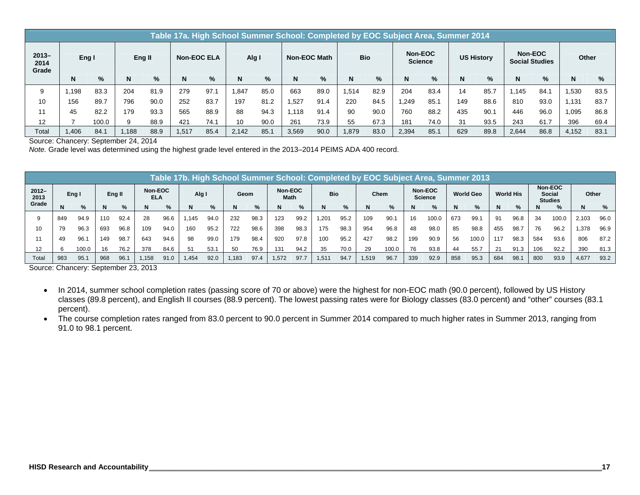|                           | Table 17a. High School Summer School: Completed by EOC Subject Area, Summer 2014 |       |        |      |                    |      |       |      |              |      |            |      |                           |      |                   |      |                                  |      |       |      |
|---------------------------|----------------------------------------------------------------------------------|-------|--------|------|--------------------|------|-------|------|--------------|------|------------|------|---------------------------|------|-------------------|------|----------------------------------|------|-------|------|
| $2013 -$<br>2014<br>Grade | Eng I                                                                            |       | Eng II |      | <b>Non-EOC ELA</b> |      | Alg I |      | Non-EOC Math |      | <b>Bio</b> |      | Non-EOC<br><b>Science</b> |      | <b>US History</b> |      | Non-EOC<br><b>Social Studies</b> |      | Other |      |
|                           | N                                                                                | %     | N      | %    | N                  | $\%$ | N     | $\%$ | N            | %    | N          | $\%$ | N                         | $\%$ | N                 | $\%$ | N                                | %    | N     | %    |
| 9                         | .198                                                                             | 83.3  | 204    | 81.9 | 279                | 97.1 | .847  | 85.0 | 663          | 89.0 | .514       | 82.9 | 204                       | 83.4 | 14                | 85.7 | 1.145                            | 84.7 | ,530  | 83.5 |
| 10                        | 156                                                                              | 89.7  | 796    | 90.0 | 252                | 83.7 | 197   | 81.2 | .527         | 91.4 | 220        | 84.5 | .249                      | 85.7 | 149               | 88.6 | 810                              | 93.0 | .131  | 83.7 |
| 11                        | 45                                                                               | 82.2  | 179    | 93.3 | 565                | 88.9 | 88    | 94.3 | 1.118        | 91.4 | 90         | 90.0 | 760                       | 88.2 | 435               | 90.1 | 446                              | 96.0 | ,095  | 86.8 |
| 12                        |                                                                                  | 100.0 |        | 88.9 | 421                | 74.1 | 10    | 90.0 | 261          | 73.9 | 55         | 67.3 | 181                       | 74.0 | 31                | 93.5 | 243                              | 61.7 | 396   | 69.4 |
| Total                     | ,406                                                                             | 84.   | .188   | 88.9 | 1,517              | 85.4 | 2.142 | 85.1 | 3,569        | 90.0 | .879       | 83.0 | 2,394                     | 85.7 | 629               | 89.8 | 2,644                            | 86.8 | 4,152 | 83.1 |

Source: Chancery: September 24, 2014

*Note.* Grade level was determined using the highest grade level entered in the 2013–2014 PEIMS ADA 400 record.

|                  | Table 17b. High School Summer School: Completed by EOC Subject Area, Summer 2013 |       |     |        |                       |      |       |      |      |                         |      |            |                   |      |       |                           |     |                  |     |                  |     |                                            |     |               |       |      |
|------------------|----------------------------------------------------------------------------------|-------|-----|--------|-----------------------|------|-------|------|------|-------------------------|------|------------|-------------------|------|-------|---------------------------|-----|------------------|-----|------------------|-----|--------------------------------------------|-----|---------------|-------|------|
| $2012 -$<br>2013 | Eng I                                                                            |       |     | Eng II | Non-EOC<br><b>ELA</b> |      | Alg I |      |      | Non-EOC<br>Geom<br>Math |      | <b>Bio</b> |                   | Chem |       | Non-EOC<br><b>Science</b> |     | <b>World Geo</b> |     | <b>World His</b> |     | Non-EOC<br><b>Social</b><br><b>Studies</b> |     | Other         |       |      |
| Grade            | N                                                                                | $\%$  | N   | %      | N                     | %    |       | $\%$ | N    | %                       | N    | $\%$       | N                 | %    | N     | %                         | N.  | %                |     | $\%$             |     | $\%$                                       |     | $\frac{9}{6}$ | N     | %    |
|                  | 849                                                                              | 94.9  | 110 | 92.4   | 28                    | 96.6 | .145  | 94.0 | 232  | 98.3                    | 123  | 99.2       | 1.201             | 95.2 | 109   | 90.1                      | 16  | 100.0            | 673 | 99.              | 91  | 96.8                                       | 34  | 100.0         | 2,103 | 96.0 |
| 10               | 79                                                                               | 96.3  | 693 | 96.8   | 109                   | 94.0 | 160   | 95.2 | 722  | 98.6                    | 398  | 98.3       | 175               | 98.3 | 954   | 96.8                      | 48  | 98.0             | 85  | 98.8             | 455 | 98.7                                       | 76  | 96.2          | 1,378 | 96.9 |
|                  | 49                                                                               | 96.   | 149 | 98.7   | 643                   | 94.6 | 98    | 99.0 | 179  | 98.4                    | 920  | 97.8       | 100               | 95.2 | 427   | 98.2                      | 199 | 90.9             | 56  | 100.0            | 117 | 98.3                                       | 584 | 93.6          | 806   | 87.2 |
| 12               |                                                                                  | 100.0 | 16  | 76.2   | 378                   | 84.6 | 51    | 53.7 | 50   | 76.9                    | 131  | 94.2       | 35                | 70.0 | 29    | 100.0                     | 76  | 93.8             | 44  | 55.7             | 21  | 91.3                                       | 106 | 92.2          | 390   | 81.3 |
| Total            | 983                                                                              | 95.   | 968 | 96.7   | .158                  | 91.0 | ,454  | 92.0 | .183 | 97.4                    | .572 | 97.7       | 1.51 <sup>4</sup> | 94.7 | 1.519 | 96.7                      | 339 | 92.9             | 858 | 95.3             | 684 | 98.                                        | 800 | 93.9          | 4.677 | 93.2 |

Source: Chancery: September 23, 2013

- In 2014, summer school completion rates (passing score of 70 or above) were the highest for non-EOC math (90.0 percent), followed by US History classes (89.8 percent), and English II courses (88.9 percent). The lowest passing rates were for Biology classes (83.0 percent) and "other" courses (83.1 percent).
- The course completion rates ranged from 83.0 percent to 90.0 percent in Summer 2014 compared to much higher rates in Summer 2013, ranging from 91.0 to 98.1 percent.